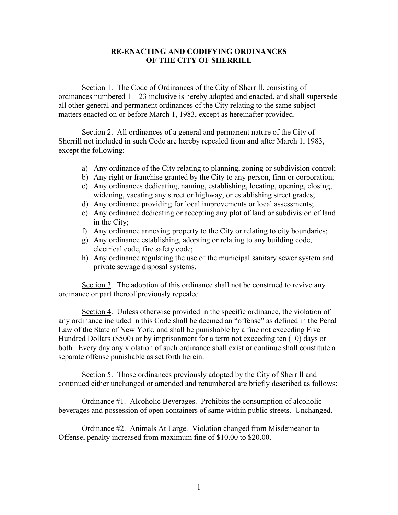## **RE-ENACTING AND CODIFYING ORDINANCES OF THE CITY OF SHERRILL**

Section 1. The Code of Ordinances of the City of Sherrill, consisting of ordinances numbered  $1 - 23$  inclusive is hereby adopted and enacted, and shall supersede all other general and permanent ordinances of the City relating to the same subject matters enacted on or before March 1, 1983, except as hereinafter provided.

Section 2. All ordinances of a general and permanent nature of the City of Sherrill not included in such Code are hereby repealed from and after March 1, 1983, except the following:

- a) Any ordinance of the City relating to planning, zoning or subdivision control;
- b) Any right or franchise granted by the City to any person, firm or corporation;
- c) Any ordinances dedicating, naming, establishing, locating, opening, closing, widening, vacating any street or highway, or establishing street grades;
- d) Any ordinance providing for local improvements or local assessments;
- e) Any ordinance dedicating or accepting any plot of land or subdivision of land in the City;
- f) Any ordinance annexing property to the City or relating to city boundaries;
- g) Any ordinance establishing, adopting or relating to any building code, electrical code, fire safety code;
- h) Any ordinance regulating the use of the municipal sanitary sewer system and private sewage disposal systems.

Section 3. The adoption of this ordinance shall not be construed to revive any ordinance or part thereof previously repealed.

Section 4. Unless otherwise provided in the specific ordinance, the violation of any ordinance included in this Code shall be deemed an "offense" as defined in the Penal Law of the State of New York, and shall be punishable by a fine not exceeding Five Hundred Dollars (\$500) or by imprisonment for a term not exceeding ten (10) days or both. Every day any violation of such ordinance shall exist or continue shall constitute a separate offense punishable as set forth herein.

Section 5. Those ordinances previously adopted by the City of Sherrill and continued either unchanged or amended and renumbered are briefly described as follows:

Ordinance #1. Alcoholic Beverages. Prohibits the consumption of alcoholic beverages and possession of open containers of same within public streets. Unchanged.

Ordinance #2. Animals At Large. Violation changed from Misdemeanor to Offense, penalty increased from maximum fine of \$10.00 to \$20.00.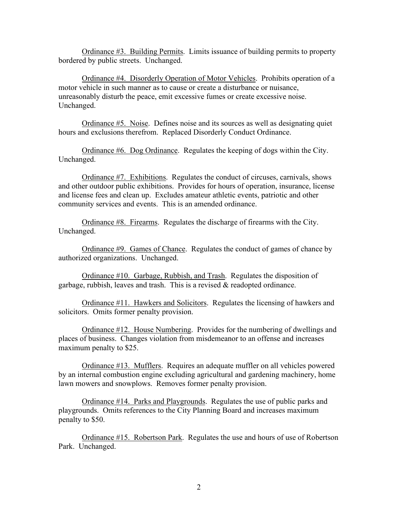Ordinance #3. Building Permits. Limits issuance of building permits to property bordered by public streets. Unchanged.

Ordinance #4. Disorderly Operation of Motor Vehicles. Prohibits operation of a motor vehicle in such manner as to cause or create a disturbance or nuisance, unreasonably disturb the peace, emit excessive fumes or create excessive noise. Unchanged.

Ordinance #5. Noise. Defines noise and its sources as well as designating quiet hours and exclusions therefrom. Replaced Disorderly Conduct Ordinance.

Ordinance #6. Dog Ordinance. Regulates the keeping of dogs within the City. Unchanged.

Ordinance #7. Exhibitions. Regulates the conduct of circuses, carnivals, shows and other outdoor public exhibitions. Provides for hours of operation, insurance, license and license fees and clean up. Excludes amateur athletic events, patriotic and other community services and events. This is an amended ordinance.

Ordinance #8. Firearms. Regulates the discharge of firearms with the City. Unchanged.

Ordinance #9. Games of Chance. Regulates the conduct of games of chance by authorized organizations. Unchanged.

Ordinance #10. Garbage, Rubbish, and Trash. Regulates the disposition of garbage, rubbish, leaves and trash. This is a revised & readopted ordinance.

Ordinance #11. Hawkers and Solicitors. Regulates the licensing of hawkers and solicitors. Omits former penalty provision.

Ordinance #12. House Numbering. Provides for the numbering of dwellings and places of business. Changes violation from misdemeanor to an offense and increases maximum penalty to \$25.

Ordinance #13. Mufflers. Requires an adequate muffler on all vehicles powered by an internal combustion engine excluding agricultural and gardening machinery, home lawn mowers and snowplows. Removes former penalty provision.

Ordinance #14. Parks and Playgrounds. Regulates the use of public parks and playgrounds. Omits references to the City Planning Board and increases maximum penalty to \$50.

Ordinance #15. Robertson Park. Regulates the use and hours of use of Robertson Park. Unchanged.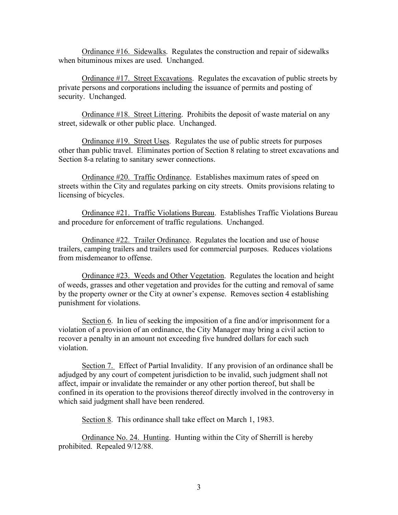Ordinance #16. Sidewalks. Regulates the construction and repair of sidewalks when bituminous mixes are used. Unchanged.

Ordinance #17. Street Excavations. Regulates the excavation of public streets by private persons and corporations including the issuance of permits and posting of security. Unchanged.

Ordinance #18. Street Littering. Prohibits the deposit of waste material on any street, sidewalk or other public place. Unchanged.

Ordinance #19. Street Uses. Regulates the use of public streets for purposes other than public travel. Eliminates portion of Section 8 relating to street excavations and Section 8-a relating to sanitary sewer connections.

Ordinance #20. Traffic Ordinance. Establishes maximum rates of speed on streets within the City and regulates parking on city streets. Omits provisions relating to licensing of bicycles.

Ordinance #21. Traffic Violations Bureau. Establishes Traffic Violations Bureau and procedure for enforcement of traffic regulations. Unchanged.

Ordinance #22. Trailer Ordinance. Regulates the location and use of house trailers, camping trailers and trailers used for commercial purposes. Reduces violations from misdemeanor to offense.

Ordinance #23. Weeds and Other Vegetation. Regulates the location and height of weeds, grasses and other vegetation and provides for the cutting and removal of same by the property owner or the City at owner's expense. Removes section 4 establishing punishment for violations.

Section 6. In lieu of seeking the imposition of a fine and/or imprisonment for a violation of a provision of an ordinance, the City Manager may bring a civil action to recover a penalty in an amount not exceeding five hundred dollars for each such violation.

Section 7. Effect of Partial Invalidity. If any provision of an ordinance shall be adjudged by any court of competent jurisdiction to be invalid, such judgment shall not affect, impair or invalidate the remainder or any other portion thereof, but shall be confined in its operation to the provisions thereof directly involved in the controversy in which said judgment shall have been rendered.

Section 8. This ordinance shall take effect on March 1, 1983.

Ordinance No. 24. Hunting. Hunting within the City of Sherrill is hereby prohibited. Repealed 9/12/88.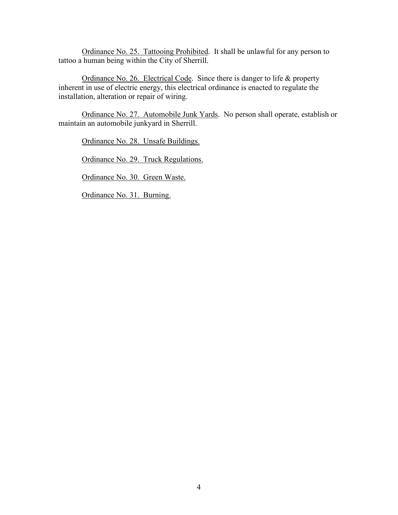Ordinance No. 25. Tattooing Prohibited. It shall be unlawful for any person to tattoo a human being within the City of Sherrill.

Ordinance No. 26. Electrical Code. Since there is danger to life & property inherent in use of electric energy, this electrical ordinance is enacted to regulate the installation, alteration or repair of wiring.

Ordinance No. 27. Automobile Junk Yards. No person shall operate, establish or maintain an automobile junkyard in Sherrill.

Ordinance No. 28. Unsafe Buildings.

Ordinance No. 29. Truck Regulations.

Ordinance No. 30. Green Waste.

Ordinance No. 31. Burning.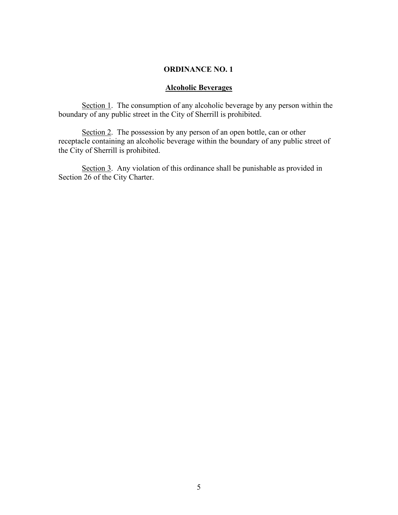# **Alcoholic Beverages**

Section 1. The consumption of any alcoholic beverage by any person within the boundary of any public street in the City of Sherrill is prohibited.

Section 2. The possession by any person of an open bottle, can or other receptacle containing an alcoholic beverage within the boundary of any public street of the City of Sherrill is prohibited.

Section 3. Any violation of this ordinance shall be punishable as provided in Section 26 of the City Charter.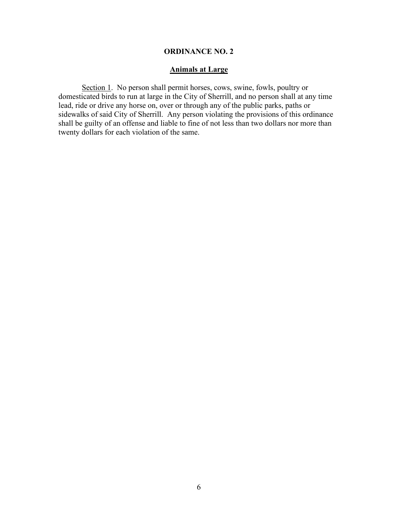## **Animals at Large**

Section 1. No person shall permit horses, cows, swine, fowls, poultry or domesticated birds to run at large in the City of Sherrill, and no person shall at any time lead, ride or drive any horse on, over or through any of the public parks, paths or sidewalks of said City of Sherrill. Any person violating the provisions of this ordinance shall be guilty of an offense and liable to fine of not less than two dollars nor more than twenty dollars for each violation of the same.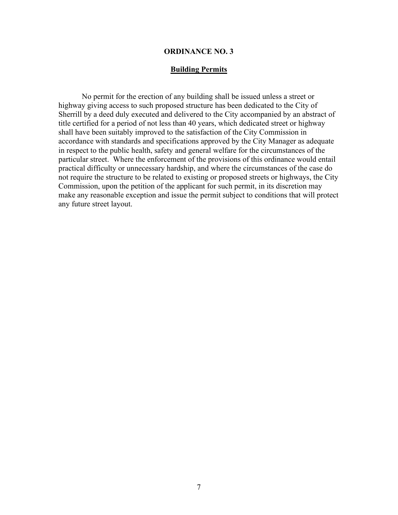#### **Building Permits**

No permit for the erection of any building shall be issued unless a street or highway giving access to such proposed structure has been dedicated to the City of Sherrill by a deed duly executed and delivered to the City accompanied by an abstract of title certified for a period of not less than 40 years, which dedicated street or highway shall have been suitably improved to the satisfaction of the City Commission in accordance with standards and specifications approved by the City Manager as adequate in respect to the public health, safety and general welfare for the circumstances of the particular street. Where the enforcement of the provisions of this ordinance would entail practical difficulty or unnecessary hardship, and where the circumstances of the case do not require the structure to be related to existing or proposed streets or highways, the City Commission, upon the petition of the applicant for such permit, in its discretion may make any reasonable exception and issue the permit subject to conditions that will protect any future street layout.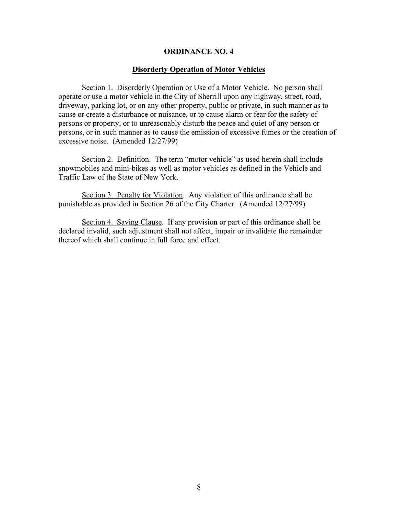### **Disorderly Operation of Motor Vehicles**

Section 1. Disorderly Operation or Use of a Motor Vehicle. No person shall operate or use a motor vehicle in the City of Sherrill upon any highway, street, road, driveway, parking lot, or on any other property, public or private, in such manner as to cause or create a disturbance or nuisance, or to cause alarm or fear for the safety of persons or property, or to unreasonably disturb the peace and quiet of any person or persons, or in such manner as to cause the emission of excessive fumes or the creation of excessive noise. (Amended 12/27/99)

Section 2. Definition. The term "motor vehicle" as used herein shall include snowmobiles and mini-bikes as well as motor vehicles as defined in the Vehicle and Traffic Law of the State of New York.

Section 3. Penalty for Violation. Any violation of this ordinance shall be punishable as provided in Section 26 of the City Charter. (Amended 12/27/99)

Section 4. Saving Clause. If any provision or part of this ordinance shall be declared invalid, such adjustment shall not affect, impair or invalidate the remainder thereof which shall continue in full force and effect.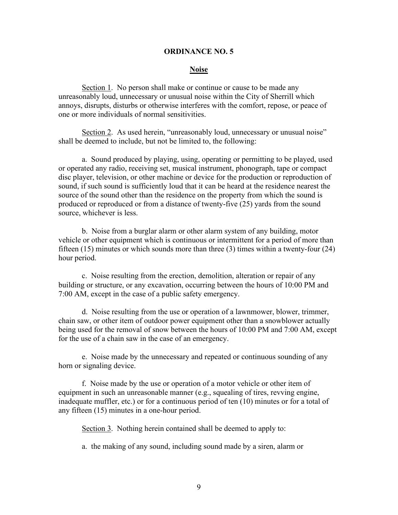### **Noise**

Section 1. No person shall make or continue or cause to be made any unreasonably loud, unnecessary or unusual noise within the City of Sherrill which annoys, disrupts, disturbs or otherwise interferes with the comfort, repose, or peace of one or more individuals of normal sensitivities.

Section 2. As used herein, "unreasonably loud, unnecessary or unusual noise" shall be deemed to include, but not be limited to, the following:

a. Sound produced by playing, using, operating or permitting to be played, used or operated any radio, receiving set, musical instrument, phonograph, tape or compact disc player, television, or other machine or device for the production or reproduction of sound, if such sound is sufficiently loud that it can be heard at the residence nearest the source of the sound other than the residence on the property from which the sound is produced or reproduced or from a distance of twenty-five (25) yards from the sound source, whichever is less.

b. Noise from a burglar alarm or other alarm system of any building, motor vehicle or other equipment which is continuous or intermittent for a period of more than fifteen (15) minutes or which sounds more than three (3) times within a twenty-four (24) hour period.

c. Noise resulting from the erection, demolition, alteration or repair of any building or structure, or any excavation, occurring between the hours of 10:00 PM and 7:00 AM, except in the case of a public safety emergency.

d. Noise resulting from the use or operation of a lawnmower, blower, trimmer, chain saw, or other item of outdoor power equipment other than a snowblower actually being used for the removal of snow between the hours of 10:00 PM and 7:00 AM, except for the use of a chain saw in the case of an emergency.

e. Noise made by the unnecessary and repeated or continuous sounding of any horn or signaling device.

f. Noise made by the use or operation of a motor vehicle or other item of equipment in such an unreasonable manner (e.g., squealing of tires, revving engine, inadequate muffler, etc.) or for a continuous period of ten (10) minutes or for a total of any fifteen (15) minutes in a one-hour period.

Section 3. Nothing herein contained shall be deemed to apply to:

a. the making of any sound, including sound made by a siren, alarm or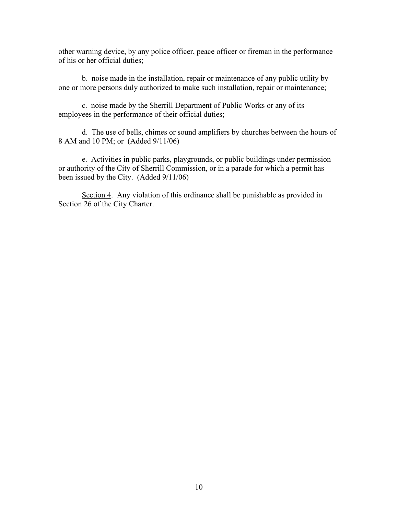other warning device, by any police officer, peace officer or fireman in the performance of his or her official duties;

b. noise made in the installation, repair or maintenance of any public utility by one or more persons duly authorized to make such installation, repair or maintenance;

c. noise made by the Sherrill Department of Public Works or any of its employees in the performance of their official duties;

d. The use of bells, chimes or sound amplifiers by churches between the hours of 8 AM and 10 PM; or (Added 9/11/06)

e. Activities in public parks, playgrounds, or public buildings under permission or authority of the City of Sherrill Commission, or in a parade for which a permit has been issued by the City. (Added 9/11/06)

Section 4. Any violation of this ordinance shall be punishable as provided in Section 26 of the City Charter.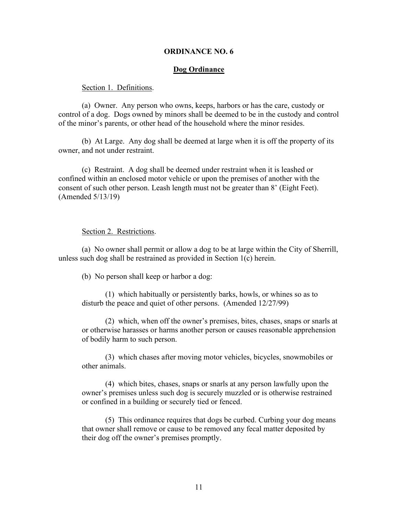#### **Dog Ordinance**

#### Section 1. Definitions.

(a) Owner. Any person who owns, keeps, harbors or has the care, custody or control of a dog. Dogs owned by minors shall be deemed to be in the custody and control of the minor's parents, or other head of the household where the minor resides.

(b) At Large. Any dog shall be deemed at large when it is off the property of its owner, and not under restraint.

(c) Restraint. A dog shall be deemed under restraint when it is leashed or confined within an enclosed motor vehicle or upon the premises of another with the consent of such other person. Leash length must not be greater than 8' (Eight Feet). (Amended 5/13/19)

#### Section 2. Restrictions.

(a) No owner shall permit or allow a dog to be at large within the City of Sherrill, unless such dog shall be restrained as provided in Section 1(c) herein.

(b) No person shall keep or harbor a dog:

(1) which habitually or persistently barks, howls, or whines so as to disturb the peace and quiet of other persons. (Amended 12/27/99)

(2) which, when off the owner's premises, bites, chases, snaps or snarls at or otherwise harasses or harms another person or causes reasonable apprehension of bodily harm to such person.

(3) which chases after moving motor vehicles, bicycles, snowmobiles or other animals.

(4) which bites, chases, snaps or snarls at any person lawfully upon the owner's premises unless such dog is securely muzzled or is otherwise restrained or confined in a building or securely tied or fenced.

(5) This ordinance requires that dogs be curbed. Curbing your dog means that owner shall remove or cause to be removed any fecal matter deposited by their dog off the owner's premises promptly.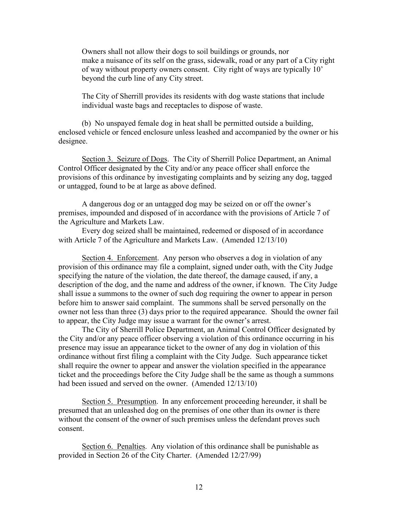Owners shall not allow their dogs to soil buildings or grounds, nor make a nuisance of its self on the grass, sidewalk, road or any part of a City right of way without property owners consent. City right of ways are typically 10' beyond the curb line of any City street.

The City of Sherrill provides its residents with dog waste stations that include individual waste bags and receptacles to dispose of waste.

(b) No unspayed female dog in heat shall be permitted outside a building, enclosed vehicle or fenced enclosure unless leashed and accompanied by the owner or his designee.

Section 3. Seizure of Dogs. The City of Sherrill Police Department, an Animal Control Officer designated by the City and/or any peace officer shall enforce the provisions of this ordinance by investigating complaints and by seizing any dog, tagged or untagged, found to be at large as above defined.

A dangerous dog or an untagged dog may be seized on or off the owner's premises, impounded and disposed of in accordance with the provisions of Article 7 of the Agriculture and Markets Law.

Every dog seized shall be maintained, redeemed or disposed of in accordance with Article 7 of the Agriculture and Markets Law. (Amended 12/13/10)

Section 4. Enforcement. Any person who observes a dog in violation of any provision of this ordinance may file a complaint, signed under oath, with the City Judge specifying the nature of the violation, the date thereof, the damage caused, if any, a description of the dog, and the name and address of the owner, if known. The City Judge shall issue a summons to the owner of such dog requiring the owner to appear in person before him to answer said complaint. The summons shall be served personally on the owner not less than three (3) days prior to the required appearance. Should the owner fail to appear, the City Judge may issue a warrant for the owner's arrest.

The City of Sherrill Police Department, an Animal Control Officer designated by the City and/or any peace officer observing a violation of this ordinance occurring in his presence may issue an appearance ticket to the owner of any dog in violation of this ordinance without first filing a complaint with the City Judge. Such appearance ticket shall require the owner to appear and answer the violation specified in the appearance ticket and the proceedings before the City Judge shall be the same as though a summons had been issued and served on the owner. (Amended 12/13/10)

Section 5. Presumption. In any enforcement proceeding hereunder, it shall be presumed that an unleashed dog on the premises of one other than its owner is there without the consent of the owner of such premises unless the defendant proves such consent.

Section 6. Penalties. Any violation of this ordinance shall be punishable as provided in Section 26 of the City Charter. (Amended 12/27/99)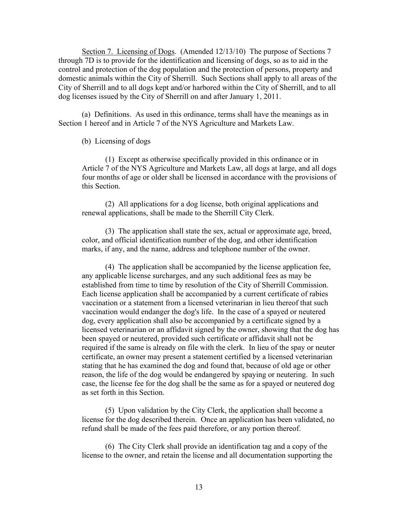Section 7. Licensing of Dogs. (Amended 12/13/10) The purpose of Sections 7 through 7D is to provide for the identification and licensing of dogs, so as to aid in the control and protection of the dog population and the protection of persons, property and domestic animals within the City of Sherrill. Such Sections shall apply to all areas of the City of Sherrill and to all dogs kept and/or harbored within the City of Sherrill, and to all dog licenses issued by the City of Sherrill on and after January 1, 2011.

(a) Definitions. As used in this ordinance, terms shall have the meanings as in Section 1 hereof and in Article 7 of the NYS Agriculture and Markets Law.

#### (b) Licensing of dogs

(1) Except as otherwise specifically provided in this ordinance or in Article 7 of the NYS Agriculture and Markets Law, all dogs at large, and all dogs four months of age or older shall be licensed in accordance with the provisions of this Section.

(2) All applications for a dog license, both original applications and renewal applications, shall be made to the Sherrill City Clerk.

(3) The application shall state the sex, actual or approximate age, breed, color, and official identification number of the dog, and other identification marks, if any, and the name, address and telephone number of the owner.

(4) The application shall be accompanied by the license application fee, any applicable license surcharges, and any such additional fees as may be established from time to time by resolution of the City of Sherrill Commission. Each license application shall be accompanied by a current certificate of rabies vaccination or a statement from a licensed veterinarian in lieu thereof that such vaccination would endanger the dog's life. In the case of a spayed or neutered dog, every application shall also be accompanied by a certificate signed by a licensed veterinarian or an affidavit signed by the owner, showing that the dog has been spayed or neutered, provided such certificate or affidavit shall not be required if the same is already on file with the clerk. In lieu of the spay or neuter certificate, an owner may present a statement certified by a licensed veterinarian stating that he has examined the dog and found that, because of old age or other reason, the life of the dog would be endangered by spaying or neutering. In such case, the license fee for the dog shall be the same as for a spayed or neutered dog as set forth in this Section.

(5) Upon validation by the City Clerk, the application shall become a license for the dog described therein. Once an application has been validated, no refund shall be made of the fees paid therefore, or any portion thereof.

(6) The City Clerk shall provide an identification tag and a copy of the license to the owner, and retain the license and all documentation supporting the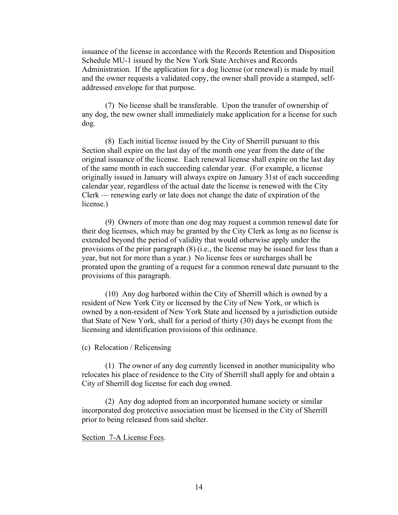issuance of the license in accordance with the Records Retention and Disposition Schedule MU-1 issued by the New York State Archives and Records Administration. If the application for a dog license (or renewal) is made by mail and the owner requests a validated copy, the owner shall provide a stamped, selfaddressed envelope for that purpose.

(7) No license shall be transferable. Upon the transfer of ownership of any dog, the new owner shall immediately make application for a license for such dog.

(8) Each initial license issued by the City of Sherrill pursuant to this Section shall expire on the last day of the month one year from the date of the original issuance of the license. Each renewal license shall expire on the last day of the same month in each succeeding calendar year. (For example, a license originally issued in January will always expire on January 31st of each succeeding calendar year, regardless of the actual date the license is renewed with the City Clerk — renewing early or late does not change the date of expiration of the license.)

(9) Owners of more than one dog may request a common renewal date for their dog licenses, which may be granted by the City Clerk as long as no license is extended beyond the period of validity that would otherwise apply under the provisions of the prior paragraph (8) (i.e., the license may be issued for less than a year, but not for more than a year.) No license fees or surcharges shall be prorated upon the granting of a request for a common renewal date pursuant to the provisions of this paragraph.

(10) Any dog harbored within the City of Sherrill which is owned by a resident of New York City or licensed by the City of New York, or which is owned by a non-resident of New York State and licensed by a jurisdiction outside that State of New York, shall for a period of thirty (30) days be exempt from the licensing and identification provisions of this ordinance.

(c) Relocation / Relicensing

(1) The owner of any dog currently licensed in another municipality who relocates his place of residence to the City of Sherrill shall apply for and obtain a City of Sherrill dog license for each dog owned.

(2) Any dog adopted from an incorporated humane society or similar incorporated dog protective association must be licensed in the City of Sherrill prior to being released from said shelter.

#### Section 7-A License Fees.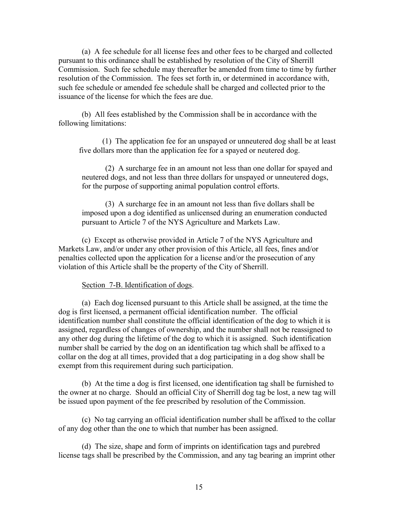(a) A fee schedule for all license fees and other fees to be charged and collected pursuant to this ordinance shall be established by resolution of the City of Sherrill Commission. Such fee schedule may thereafter be amended from time to time by further resolution of the Commission. The fees set forth in, or determined in accordance with, such fee schedule or amended fee schedule shall be charged and collected prior to the issuance of the license for which the fees are due.

(b) All fees established by the Commission shall be in accordance with the following limitations:

(1) The application fee for an unspayed or unneutered dog shall be at least five dollars more than the application fee for a spayed or neutered dog.

(2) A surcharge fee in an amount not less than one dollar for spayed and neutered dogs, and not less than three dollars for unspayed or unneutered dogs, for the purpose of supporting animal population control efforts.

(3) A surcharge fee in an amount not less than five dollars shall be imposed upon a dog identified as unlicensed during an enumeration conducted pursuant to Article 7 of the NYS Agriculture and Markets Law.

(c) Except as otherwise provided in Article 7 of the NYS Agriculture and Markets Law, and/or under any other provision of this Article, all fees, fines and/or penalties collected upon the application for a license and/or the prosecution of any violation of this Article shall be the property of the City of Sherrill.

#### Section 7-B. Identification of dogs.

(a) Each dog licensed pursuant to this Article shall be assigned, at the time the dog is first licensed, a permanent official identification number. The official identification number shall constitute the official identification of the dog to which it is assigned, regardless of changes of ownership, and the number shall not be reassigned to any other dog during the lifetime of the dog to which it is assigned. Such identification number shall be carried by the dog on an identification tag which shall be affixed to a collar on the dog at all times, provided that a dog participating in a dog show shall be exempt from this requirement during such participation.

(b) At the time a dog is first licensed, one identification tag shall be furnished to the owner at no charge. Should an official City of Sherrill dog tag be lost, a new tag will be issued upon payment of the fee prescribed by resolution of the Commission.

(c) No tag carrying an official identification number shall be affixed to the collar of any dog other than the one to which that number has been assigned.

(d) The size, shape and form of imprints on identification tags and purebred license tags shall be prescribed by the Commission, and any tag bearing an imprint other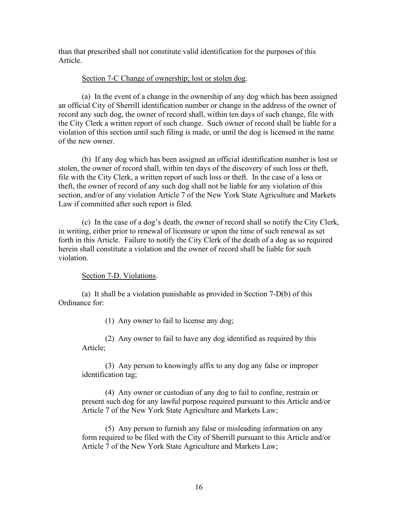than that prescribed shall not constitute valid identification for the purposes of this Article.

# Section 7-C Change of ownership; lost or stolen dog.

(a) In the event of a change in the ownership of any dog which has been assigned an official City of Sherrill identification number or change in the address of the owner of record any such dog, the owner of record shall, within ten days of such change, file with the City Clerk a written report of such change. Such owner of record shall be liable for a violation of this section until such filing is made, or until the dog is licensed in the name of the new owner.

(b) If any dog which has been assigned an official identification number is lost or stolen, the owner of record shall, within ten days of the discovery of such loss or theft, file with the City Clerk, a written report of such loss or theft. In the case of a loss or theft, the owner of record of any such dog shall not be liable for any violation of this section, and/or of any violation Article 7 of the New York State Agriculture and Markets Law if committed after such report is filed.

(c) In the case of a dog's death, the owner of record shall so notify the City Clerk, in writing, either prior to renewal of licensure or upon the time of such renewal as set forth in this Article. Failure to notify the City Clerk of the death of a dog as so required herein shall constitute a violation and the owner of record shall be liable for such violation.

# Section 7-D. Violations.

(a) It shall be a violation punishable as provided in Section 7-D(b) of this Ordinance for:

(1) Any owner to fail to license any dog;

(2) Any owner to fail to have any dog identified as required by this Article;

(3) Any person to knowingly affix to any dog any false or improper identification tag;

(4) Any owner or custodian of any dog to fail to confine, restrain or present such dog for any lawful purpose required pursuant to this Article and/or Article 7 of the New York State Agriculture and Markets Law;

(5) Any person to furnish any false or misleading information on any form required to be filed with the City of Sherrill pursuant to this Article and/or Article 7 of the New York State Agriculture and Markets Law;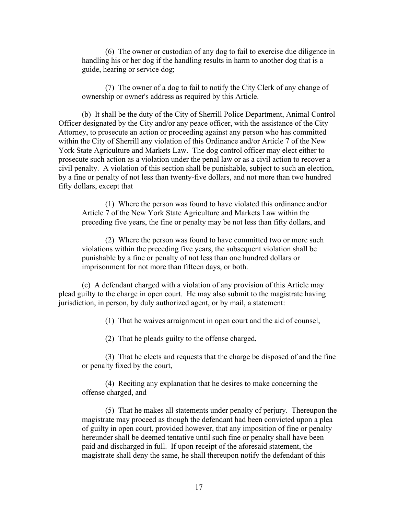(6) The owner or custodian of any dog to fail to exercise due diligence in handling his or her dog if the handling results in harm to another dog that is a guide, hearing or service dog;

(7) The owner of a dog to fail to notify the City Clerk of any change of ownership or owner's address as required by this Article.

(b) It shall be the duty of the City of Sherrill Police Department, Animal Control Officer designated by the City and/or any peace officer, with the assistance of the City Attorney, to prosecute an action or proceeding against any person who has committed within the City of Sherrill any violation of this Ordinance and/or Article 7 of the New York State Agriculture and Markets Law. The dog control officer may elect either to prosecute such action as a violation under the penal law or as a civil action to recover a civil penalty. A violation of this section shall be punishable, subject to such an election, by a fine or penalty of not less than twenty-five dollars, and not more than two hundred fifty dollars, except that

(1) Where the person was found to have violated this ordinance and/or Article 7 of the New York State Agriculture and Markets Law within the preceding five years, the fine or penalty may be not less than fifty dollars, and

(2) Where the person was found to have committed two or more such violations within the preceding five years, the subsequent violation shall be punishable by a fine or penalty of not less than one hundred dollars or imprisonment for not more than fifteen days, or both.

(c) A defendant charged with a violation of any provision of this Article may plead guilty to the charge in open court. He may also submit to the magistrate having jurisdiction, in person, by duly authorized agent, or by mail, a statement:

(1) That he waives arraignment in open court and the aid of counsel,

(2) That he pleads guilty to the offense charged,

(3) That he elects and requests that the charge be disposed of and the fine or penalty fixed by the court,

(4) Reciting any explanation that he desires to make concerning the offense charged, and

(5) That he makes all statements under penalty of perjury. Thereupon the magistrate may proceed as though the defendant had been convicted upon a plea of guilty in open court, provided however, that any imposition of fine or penalty hereunder shall be deemed tentative until such fine or penalty shall have been paid and discharged in full. If upon receipt of the aforesaid statement, the magistrate shall deny the same, he shall thereupon notify the defendant of this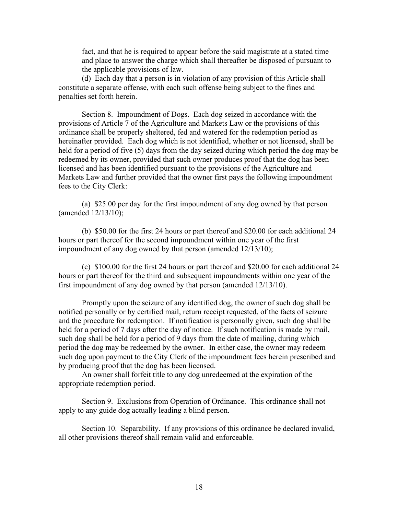fact, and that he is required to appear before the said magistrate at a stated time and place to answer the charge which shall thereafter be disposed of pursuant to the applicable provisions of law.

(d) Each day that a person is in violation of any provision of this Article shall constitute a separate offense, with each such offense being subject to the fines and penalties set forth herein.

Section 8. Impoundment of Dogs. Each dog seized in accordance with the provisions of Article 7 of the Agriculture and Markets Law or the provisions of this ordinance shall be properly sheltered, fed and watered for the redemption period as hereinafter provided. Each dog which is not identified, whether or not licensed, shall be held for a period of five (5) days from the day seized during which period the dog may be redeemed by its owner, provided that such owner produces proof that the dog has been licensed and has been identified pursuant to the provisions of the Agriculture and Markets Law and further provided that the owner first pays the following impoundment fees to the City Clerk:

(a) \$25.00 per day for the first impoundment of any dog owned by that person (amended 12/13/10);

(b) \$50.00 for the first 24 hours or part thereof and \$20.00 for each additional 24 hours or part thereof for the second impoundment within one year of the first impoundment of any dog owned by that person (amended 12/13/10);

(c) \$100.00 for the first 24 hours or part thereof and \$20.00 for each additional 24 hours or part thereof for the third and subsequent impoundments within one year of the first impoundment of any dog owned by that person (amended 12/13/10).

Promptly upon the seizure of any identified dog, the owner of such dog shall be notified personally or by certified mail, return receipt requested, of the facts of seizure and the procedure for redemption. If notification is personally given, such dog shall be held for a period of 7 days after the day of notice. If such notification is made by mail, such dog shall be held for a period of 9 days from the date of mailing, during which period the dog may be redeemed by the owner. In either case, the owner may redeem such dog upon payment to the City Clerk of the impoundment fees herein prescribed and by producing proof that the dog has been licensed.

An owner shall forfeit title to any dog unredeemed at the expiration of the appropriate redemption period.

Section 9. Exclusions from Operation of Ordinance. This ordinance shall not apply to any guide dog actually leading a blind person.

Section 10. Separability. If any provisions of this ordinance be declared invalid, all other provisions thereof shall remain valid and enforceable.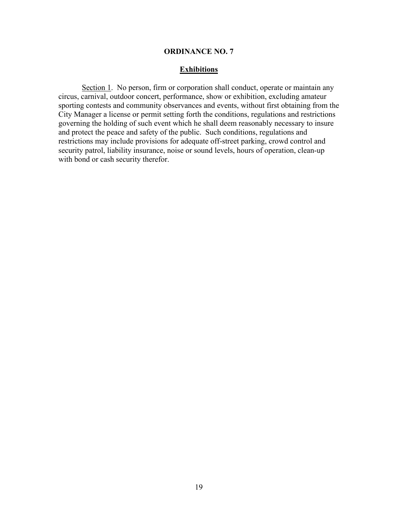### **Exhibitions**

Section 1. No person, firm or corporation shall conduct, operate or maintain any circus, carnival, outdoor concert, performance, show or exhibition, excluding amateur sporting contests and community observances and events, without first obtaining from the City Manager a license or permit setting forth the conditions, regulations and restrictions governing the holding of such event which he shall deem reasonably necessary to insure and protect the peace and safety of the public. Such conditions, regulations and restrictions may include provisions for adequate off-street parking, crowd control and security patrol, liability insurance, noise or sound levels, hours of operation, clean-up with bond or cash security therefor.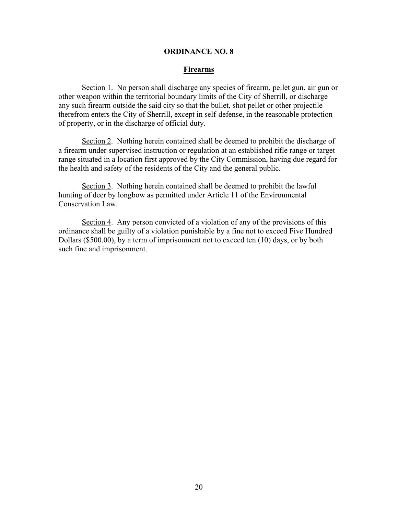#### **Firearms**

Section 1. No person shall discharge any species of firearm, pellet gun, air gun or other weapon within the territorial boundary limits of the City of Sherrill, or discharge any such firearm outside the said city so that the bullet, shot pellet or other projectile therefrom enters the City of Sherrill, except in self-defense, in the reasonable protection of property, or in the discharge of official duty.

Section 2. Nothing herein contained shall be deemed to prohibit the discharge of a firearm under supervised instruction or regulation at an established rifle range or target range situated in a location first approved by the City Commission, having due regard for the health and safety of the residents of the City and the general public.

Section 3. Nothing herein contained shall be deemed to prohibit the lawful hunting of deer by longbow as permitted under Article 11 of the Environmental Conservation Law.

Section 4. Any person convicted of a violation of any of the provisions of this ordinance shall be guilty of a violation punishable by a fine not to exceed Five Hundred Dollars (\$500.00), by a term of imprisonment not to exceed ten (10) days, or by both such fine and imprisonment.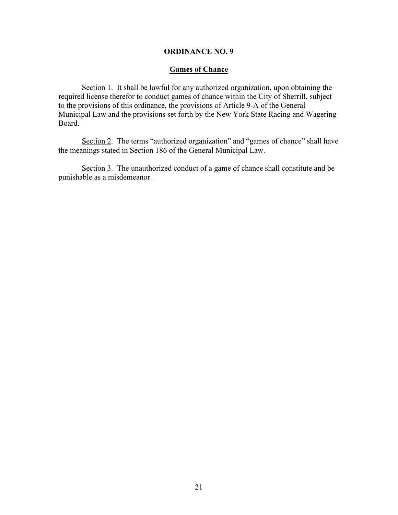## **Games of Chance**

Section 1. It shall be lawful for any authorized organization, upon obtaining the required license therefor to conduct games of chance within the City of Sherrill, subject to the provisions of this ordinance, the provisions of Article 9-A of the General Municipal Law and the provisions set forth by the New York State Racing and Wagering Board.

Section 2. The terms "authorized organization" and "games of chance" shall have the meanings stated in Section 186 of the General Municipal Law.

Section 3. The unauthorized conduct of a game of chance shall constitute and be punishable as a misdemeanor.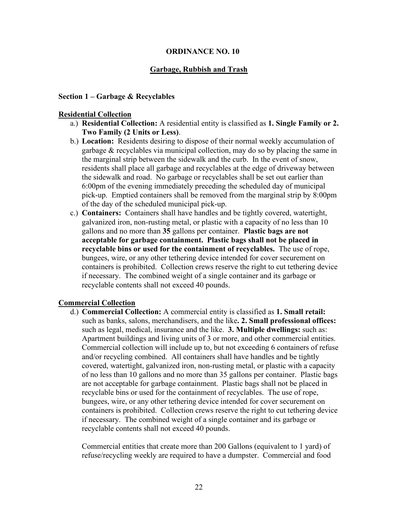### **Garbage, Rubbish and Trash**

#### **Section 1 – Garbage & Recyclables**

#### **Residential Collection**

- a.) **Residential Collection:** A residential entity is classified as **1. Single Family or 2. Two Family (2 Units or Less)**.
- b.) **Location:** Residents desiring to dispose of their normal weekly accumulation of garbage & recyclables via municipal collection, may do so by placing the same in the marginal strip between the sidewalk and the curb. In the event of snow, residents shall place all garbage and recyclables at the edge of driveway between the sidewalk and road. No garbage or recyclables shall be set out earlier than 6:00pm of the evening immediately preceding the scheduled day of municipal pick-up. Emptied containers shall be removed from the marginal strip by 8:00pm of the day of the scheduled municipal pick-up.
- c.) **Containers:** Containers shall have handles and be tightly covered, watertight, galvanized iron, non-rusting metal, or plastic with a capacity of no less than 10 gallons and no more than **35** gallons per container. **Plastic bags are not acceptable for garbage containment. Plastic bags shall not be placed in recyclable bins or used for the containment of recyclables.** The use of rope, bungees, wire, or any other tethering device intended for cover securement on containers is prohibited. Collection crews reserve the right to cut tethering device if necessary. The combined weight of a single container and its garbage or recyclable contents shall not exceed 40 pounds.

#### **Commercial Collection**

d.) **Commercial Collection:** A commercial entity is classified as **1. Small retail:** such as banks, salons, merchandisers, and the like**. 2. Small professional offices:** such as legal, medical, insurance and the like. **3. Multiple dwellings:** such as: Apartment buildings and living units of 3 or more, and other commercial entities. Commercial collection will include up to, but not exceeding 6 containers of refuse and/or recycling combined. All containers shall have handles and be tightly covered, watertight, galvanized iron, non-rusting metal, or plastic with a capacity of no less than 10 gallons and no more than 35 gallons per container. Plastic bags are not acceptable for garbage containment. Plastic bags shall not be placed in recyclable bins or used for the containment of recyclables. The use of rope, bungees, wire, or any other tethering device intended for cover securement on containers is prohibited. Collection crews reserve the right to cut tethering device if necessary. The combined weight of a single container and its garbage or recyclable contents shall not exceed 40 pounds.

Commercial entities that create more than 200 Gallons (equivalent to 1 yard) of refuse/recycling weekly are required to have a dumpster. Commercial and food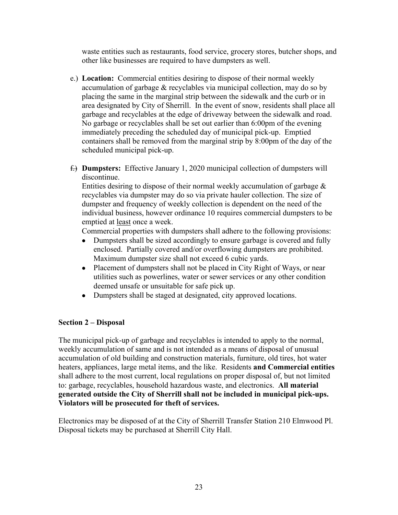waste entities such as restaurants, food service, grocery stores, butcher shops, and other like businesses are required to have dumpsters as well.

- e.) **Location:** Commercial entities desiring to dispose of their normal weekly accumulation of garbage & recyclables via municipal collection, may do so by placing the same in the marginal strip between the sidewalk and the curb or in area designated by City of Sherrill. In the event of snow, residents shall place all garbage and recyclables at the edge of driveway between the sidewalk and road. No garbage or recyclables shall be set out earlier than 6:00pm of the evening immediately preceding the scheduled day of municipal pick-up. Emptied containers shall be removed from the marginal strip by 8:00pm of the day of the scheduled municipal pick-up.
- f.) **Dumpsters:** Effective January 1, 2020 municipal collection of dumpsters will discontinue.

Entities desiring to dispose of their normal weekly accumulation of garbage & recyclables via dumpster may do so via private hauler collection. The size of dumpster and frequency of weekly collection is dependent on the need of the individual business, however ordinance 10 requires commercial dumpsters to be emptied at least once a week.

Commercial properties with dumpsters shall adhere to the following provisions:

- Dumpsters shall be sized accordingly to ensure garbage is covered and fully enclosed. Partially covered and/or overflowing dumpsters are prohibited. Maximum dumpster size shall not exceed 6 cubic yards.
- Placement of dumpsters shall not be placed in City Right of Ways, or near utilities such as powerlines, water or sewer services or any other condition deemed unsafe or unsuitable for safe pick up.
- Dumpsters shall be staged at designated, city approved locations.

# **Section 2 – Disposal**

The municipal pick-up of garbage and recyclables is intended to apply to the normal, weekly accumulation of same and is not intended as a means of disposal of unusual accumulation of old building and construction materials, furniture, old tires, hot water heaters, appliances, large metal items, and the like. Residents **and Commercial entities** shall adhere to the most current, local regulations on proper disposal of, but not limited to: garbage, recyclables, household hazardous waste, and electronics. **All material generated outside the City of Sherrill shall not be included in municipal pick-ups. Violators will be prosecuted for theft of services.**

Electronics may be disposed of at the City of Sherrill Transfer Station 210 Elmwood Pl. Disposal tickets may be purchased at Sherrill City Hall.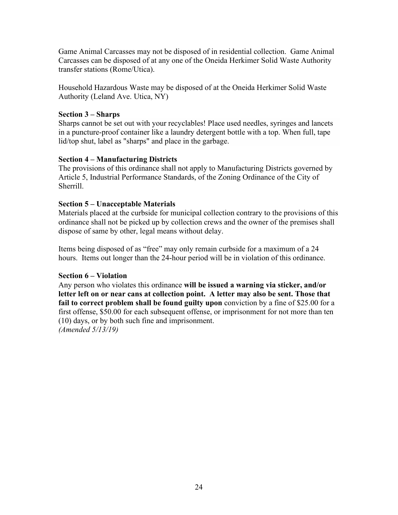Game Animal Carcasses may not be disposed of in residential collection. Game Animal Carcasses can be disposed of at any one of the Oneida Herkimer Solid Waste Authority transfer stations (Rome/Utica).

Household Hazardous Waste may be disposed of at the Oneida Herkimer Solid Waste Authority (Leland Ave. Utica, NY)

# **Section 3 – Sharps**

Sharps cannot be set out with your recyclables! Place used needles, syringes and lancets in a puncture-proof container like a laundry detergent bottle with a top. When full, tape lid/top shut, label as "sharps" and place in the garbage.

# **Section 4 – Manufacturing Districts**

The provisions of this ordinance shall not apply to Manufacturing Districts governed by Article 5, Industrial Performance Standards, of the Zoning Ordinance of the City of Sherrill.

# **Section 5 – Unacceptable Materials**

Materials placed at the curbside for municipal collection contrary to the provisions of this ordinance shall not be picked up by collection crews and the owner of the premises shall dispose of same by other, legal means without delay.

Items being disposed of as "free" may only remain curbside for a maximum of a 24 hours. Items out longer than the 24-hour period will be in violation of this ordinance.

# **Section 6 – Violation**

Any person who violates this ordinance **will be issued a warning via sticker, and/or letter left on or near cans at collection point. A letter may also be sent. Those that fail to correct problem shall be found guilty upon** conviction by a fine of \$25.00 for a first offense, \$50.00 for each subsequent offense, or imprisonment for not more than ten (10) days, or by both such fine and imprisonment. *(Amended 5/13/19)*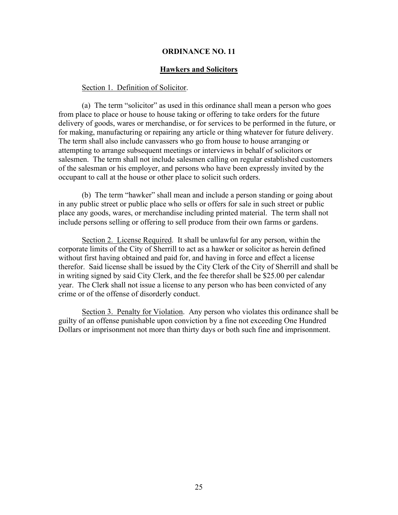#### **Hawkers and Solicitors**

#### Section 1. Definition of Solicitor.

(a) The term "solicitor" as used in this ordinance shall mean a person who goes from place to place or house to house taking or offering to take orders for the future delivery of goods, wares or merchandise, or for services to be performed in the future, or for making, manufacturing or repairing any article or thing whatever for future delivery. The term shall also include canvassers who go from house to house arranging or attempting to arrange subsequent meetings or interviews in behalf of solicitors or salesmen. The term shall not include salesmen calling on regular established customers of the salesman or his employer, and persons who have been expressly invited by the occupant to call at the house or other place to solicit such orders.

(b) The term "hawker" shall mean and include a person standing or going about in any public street or public place who sells or offers for sale in such street or public place any goods, wares, or merchandise including printed material. The term shall not include persons selling or offering to sell produce from their own farms or gardens.

Section 2. License Required. It shall be unlawful for any person, within the corporate limits of the City of Sherrill to act as a hawker or solicitor as herein defined without first having obtained and paid for, and having in force and effect a license therefor. Said license shall be issued by the City Clerk of the City of Sherrill and shall be in writing signed by said City Clerk, and the fee therefor shall be \$25.00 per calendar year. The Clerk shall not issue a license to any person who has been convicted of any crime or of the offense of disorderly conduct.

Section 3. Penalty for Violation. Any person who violates this ordinance shall be guilty of an offense punishable upon conviction by a fine not exceeding One Hundred Dollars or imprisonment not more than thirty days or both such fine and imprisonment.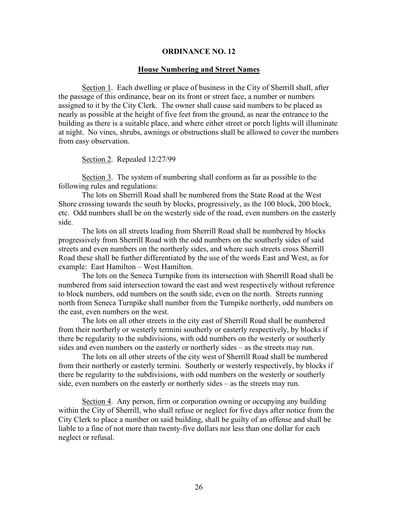#### **House Numbering and Street Names**

Section 1. Each dwelling or place of business in the City of Sherrill shall, after the passage of this ordinance, bear on its front or street face, a number or numbers assigned to it by the City Clerk. The owner shall cause said numbers to be placed as nearly as possible at the height of five feet from the ground, as near the entrance to the building as there is a suitable place, and where either street or porch lights will illuminate at night. No vines, shrubs, awnings or obstructions shall be allowed to cover the numbers from easy observation.

Section 2. Repealed 12/27/99

Section 3. The system of numbering shall conform as far as possible to the following rules and regulations:

The lots on Sherrill Road shall be numbered from the State Road at the West Shore crossing towards the south by blocks, progressively, as the 100 block, 200 block, etc. Odd numbers shall be on the westerly side of the road, even numbers on the easterly side.

The lots on all streets leading from Sherrill Road shall be numbered by blocks progressively from Sherrill Road with the odd numbers on the southerly sides of said streets and even numbers on the northerly sides, and where such streets cross Sherrill Road these shall be further differentiated by the use of the words East and West, as for example: East Hamilton – West Hamilton.

The lots on the Seneca Turnpike from its intersection with Sherrill Road shall be numbered from said intersection toward the east and west respectively without reference to block numbers, odd numbers on the south side, even on the north. Streets running north from Seneca Turnpike shall number from the Turnpike northerly, odd numbers on the east, even numbers on the west.

The lots on all other streets in the city east of Sherrill Road shall be numbered from their northerly or westerly termini southerly or easterly respectively, by blocks if there be regularity to the subdivisions, with odd numbers on the westerly or southerly sides and even numbers on the easterly or northerly sides – as the streets may run.

The lots on all other streets of the city west of Sherrill Road shall be numbered from their northerly or easterly termini. Southerly or westerly respectively, by blocks if there be regularity to the subdivisions, with odd numbers on the westerly or southerly side, even numbers on the easterly or northerly sides – as the streets may run.

Section 4. Any person, firm or corporation owning or occupying any building within the City of Sherrill, who shall refuse or neglect for five days after notice from the City Clerk to place a number on said building, shall be guilty of an offense and shall be liable to a fine of not more than twenty-five dollars nor less than one dollar for each neglect or refusal.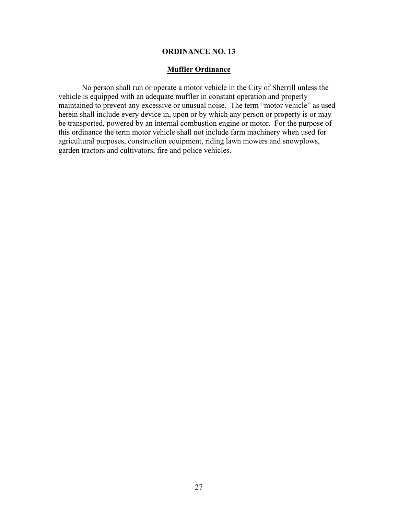## **Muffler Ordinance**

No person shall run or operate a motor vehicle in the City of Sherrill unless the vehicle is equipped with an adequate muffler in constant operation and properly maintained to prevent any excessive or unusual noise. The term "motor vehicle" as used herein shall include every device in, upon or by which any person or property is or may be transported, powered by an internal combustion engine or motor. For the purpose of this ordinance the term motor vehicle shall not include farm machinery when used for agricultural purposes, construction equipment, riding lawn mowers and snowplows, garden tractors and cultivators, fire and police vehicles.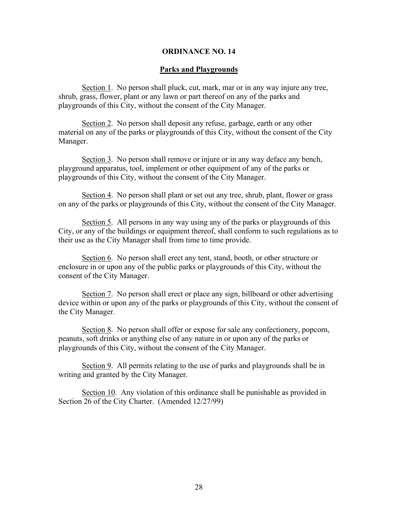#### **Parks and Playgrounds**

Section 1. No person shall pluck, cut, mark, mar or in any way injure any tree, shrub, grass, flower, plant or any lawn or part thereof on any of the parks and playgrounds of this City, without the consent of the City Manager.

Section 2. No person shall deposit any refuse, garbage, earth or any other material on any of the parks or playgrounds of this City, without the consent of the City Manager.

Section 3. No person shall remove or injure or in any way deface any bench, playground apparatus, tool, implement or other equipment of any of the parks or playgrounds of this City, without the consent of the City Manager.

Section 4. No person shall plant or set out any tree, shrub, plant, flower or grass on any of the parks or playgrounds of this City, without the consent of the City Manager.

Section 5. All persons in any way using any of the parks or playgrounds of this City, or any of the buildings or equipment thereof, shall conform to such regulations as to their use as the City Manager shall from time to time provide.

Section 6. No person shall erect any tent, stand, booth, or other structure or enclosure in or upon any of the public parks or playgrounds of this City, without the consent of the City Manager.

Section 7. No person shall erect or place any sign, billboard or other advertising device within or upon any of the parks or playgrounds of this City, without the consent of the City Manager.

Section 8. No person shall offer or expose for sale any confectionery, popcorn, peanuts, soft drinks or anything else of any nature in or upon any of the parks or playgrounds of this City, without the consent of the City Manager.

Section 9. All permits relating to the use of parks and playgrounds shall be in writing and granted by the City Manager.

Section 10. Any violation of this ordinance shall be punishable as provided in Section 26 of the City Charter. (Amended 12/27/99)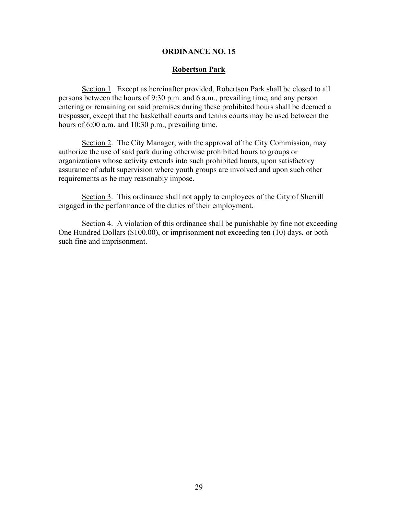#### **Robertson Park**

Section 1. Except as hereinafter provided, Robertson Park shall be closed to all persons between the hours of 9:30 p.m. and 6 a.m., prevailing time, and any person entering or remaining on said premises during these prohibited hours shall be deemed a trespasser, except that the basketball courts and tennis courts may be used between the hours of 6:00 a.m. and 10:30 p.m., prevailing time.

Section 2. The City Manager, with the approval of the City Commission, may authorize the use of said park during otherwise prohibited hours to groups or organizations whose activity extends into such prohibited hours, upon satisfactory assurance of adult supervision where youth groups are involved and upon such other requirements as he may reasonably impose.

Section 3. This ordinance shall not apply to employees of the City of Sherrill engaged in the performance of the duties of their employment.

Section 4. A violation of this ordinance shall be punishable by fine not exceeding One Hundred Dollars (\$100.00), or imprisonment not exceeding ten (10) days, or both such fine and imprisonment.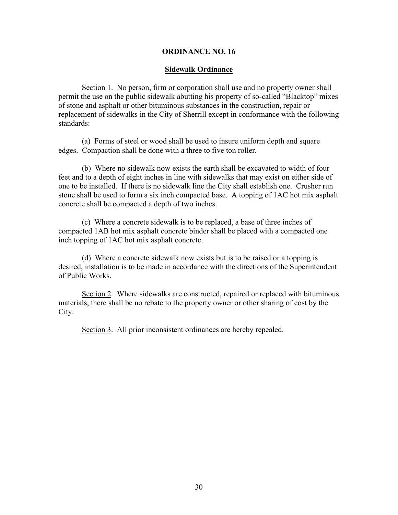### **Sidewalk Ordinance**

Section 1. No person, firm or corporation shall use and no property owner shall permit the use on the public sidewalk abutting his property of so-called "Blacktop" mixes of stone and asphalt or other bituminous substances in the construction, repair or replacement of sidewalks in the City of Sherrill except in conformance with the following standards:

(a) Forms of steel or wood shall be used to insure uniform depth and square edges. Compaction shall be done with a three to five ton roller.

(b) Where no sidewalk now exists the earth shall be excavated to width of four feet and to a depth of eight inches in line with sidewalks that may exist on either side of one to be installed. If there is no sidewalk line the City shall establish one. Crusher run stone shall be used to form a six inch compacted base. A topping of 1AC hot mix asphalt concrete shall be compacted a depth of two inches.

(c) Where a concrete sidewalk is to be replaced, a base of three inches of compacted 1AB hot mix asphalt concrete binder shall be placed with a compacted one inch topping of 1AC hot mix asphalt concrete.

(d) Where a concrete sidewalk now exists but is to be raised or a topping is desired, installation is to be made in accordance with the directions of the Superintendent of Public Works.

Section 2. Where sidewalks are constructed, repaired or replaced with bituminous materials, there shall be no rebate to the property owner or other sharing of cost by the City.

Section 3. All prior inconsistent ordinances are hereby repealed.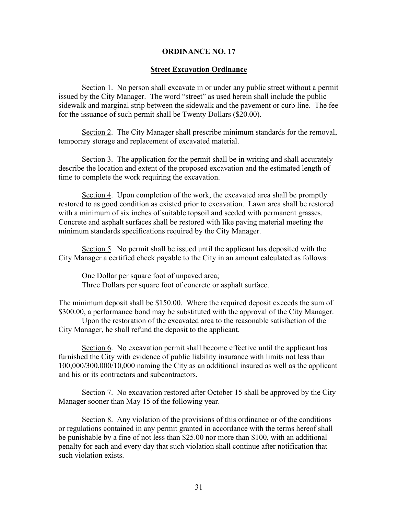#### **Street Excavation Ordinance**

Section 1. No person shall excavate in or under any public street without a permit issued by the City Manager. The word "street" as used herein shall include the public sidewalk and marginal strip between the sidewalk and the pavement or curb line. The fee for the issuance of such permit shall be Twenty Dollars (\$20.00).

Section 2. The City Manager shall prescribe minimum standards for the removal, temporary storage and replacement of excavated material.

Section 3. The application for the permit shall be in writing and shall accurately describe the location and extent of the proposed excavation and the estimated length of time to complete the work requiring the excavation.

Section 4. Upon completion of the work, the excavated area shall be promptly restored to as good condition as existed prior to excavation. Lawn area shall be restored with a minimum of six inches of suitable topsoil and seeded with permanent grasses. Concrete and asphalt surfaces shall be restored with like paving material meeting the minimum standards specifications required by the City Manager.

Section 5. No permit shall be issued until the applicant has deposited with the City Manager a certified check payable to the City in an amount calculated as follows:

One Dollar per square foot of unpaved area; Three Dollars per square foot of concrete or asphalt surface.

The minimum deposit shall be \$150.00. Where the required deposit exceeds the sum of \$300.00, a performance bond may be substituted with the approval of the City Manager.

Upon the restoration of the excavated area to the reasonable satisfaction of the City Manager, he shall refund the deposit to the applicant.

Section 6. No excavation permit shall become effective until the applicant has furnished the City with evidence of public liability insurance with limits not less than 100,000/300,000/10,000 naming the City as an additional insured as well as the applicant and his or its contractors and subcontractors.

Section 7. No excavation restored after October 15 shall be approved by the City Manager sooner than May 15 of the following year.

Section 8. Any violation of the provisions of this ordinance or of the conditions or regulations contained in any permit granted in accordance with the terms hereof shall be punishable by a fine of not less than \$25.00 nor more than \$100, with an additional penalty for each and every day that such violation shall continue after notification that such violation exists.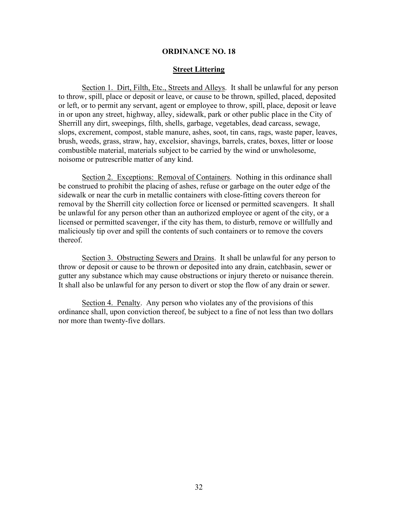### **Street Littering**

Section 1. Dirt, Filth, Etc., Streets and Alleys. It shall be unlawful for any person to throw, spill, place or deposit or leave, or cause to be thrown, spilled, placed, deposited or left, or to permit any servant, agent or employee to throw, spill, place, deposit or leave in or upon any street, highway, alley, sidewalk, park or other public place in the City of Sherrill any dirt, sweepings, filth, shells, garbage, vegetables, dead carcass, sewage, slops, excrement, compost, stable manure, ashes, soot, tin cans, rags, waste paper, leaves, brush, weeds, grass, straw, hay, excelsior, shavings, barrels, crates, boxes, litter or loose combustible material, materials subject to be carried by the wind or unwholesome, noisome or putrescrible matter of any kind.

Section 2. Exceptions: Removal of Containers. Nothing in this ordinance shall be construed to prohibit the placing of ashes, refuse or garbage on the outer edge of the sidewalk or near the curb in metallic containers with close-fitting covers thereon for removal by the Sherrill city collection force or licensed or permitted scavengers. It shall be unlawful for any person other than an authorized employee or agent of the city, or a licensed or permitted scavenger, if the city has them, to disturb, remove or willfully and maliciously tip over and spill the contents of such containers or to remove the covers thereof.

Section 3. Obstructing Sewers and Drains. It shall be unlawful for any person to throw or deposit or cause to be thrown or deposited into any drain, catchbasin, sewer or gutter any substance which may cause obstructions or injury thereto or nuisance therein. It shall also be unlawful for any person to divert or stop the flow of any drain or sewer.

Section 4. Penalty. Any person who violates any of the provisions of this ordinance shall, upon conviction thereof, be subject to a fine of not less than two dollars nor more than twenty-five dollars.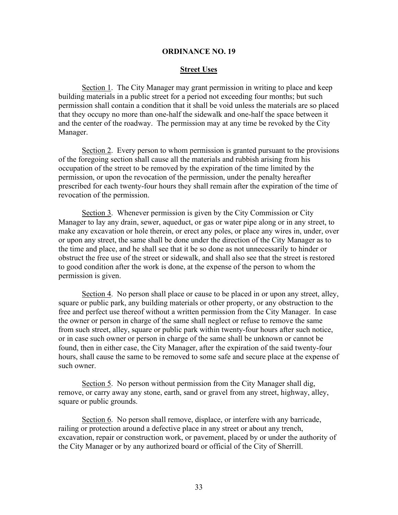#### **Street Uses**

Section 1. The City Manager may grant permission in writing to place and keep building materials in a public street for a period not exceeding four months; but such permission shall contain a condition that it shall be void unless the materials are so placed that they occupy no more than one-half the sidewalk and one-half the space between it and the center of the roadway. The permission may at any time be revoked by the City Manager.

Section 2. Every person to whom permission is granted pursuant to the provisions of the foregoing section shall cause all the materials and rubbish arising from his occupation of the street to be removed by the expiration of the time limited by the permission, or upon the revocation of the permission, under the penalty hereafter prescribed for each twenty-four hours they shall remain after the expiration of the time of revocation of the permission.

Section 3. Whenever permission is given by the City Commission or City Manager to lay any drain, sewer, aqueduct, or gas or water pipe along or in any street, to make any excavation or hole therein, or erect any poles, or place any wires in, under, over or upon any street, the same shall be done under the direction of the City Manager as to the time and place, and he shall see that it be so done as not unnecessarily to hinder or obstruct the free use of the street or sidewalk, and shall also see that the street is restored to good condition after the work is done, at the expense of the person to whom the permission is given.

Section 4. No person shall place or cause to be placed in or upon any street, alley, square or public park, any building materials or other property, or any obstruction to the free and perfect use thereof without a written permission from the City Manager. In case the owner or person in charge of the same shall neglect or refuse to remove the same from such street, alley, square or public park within twenty-four hours after such notice, or in case such owner or person in charge of the same shall be unknown or cannot be found, then in either case, the City Manager, after the expiration of the said twenty-four hours, shall cause the same to be removed to some safe and secure place at the expense of such owner.

Section 5. No person without permission from the City Manager shall dig, remove, or carry away any stone, earth, sand or gravel from any street, highway, alley, square or public grounds.

Section 6. No person shall remove, displace, or interfere with any barricade, railing or protection around a defective place in any street or about any trench, excavation, repair or construction work, or pavement, placed by or under the authority of the City Manager or by any authorized board or official of the City of Sherrill.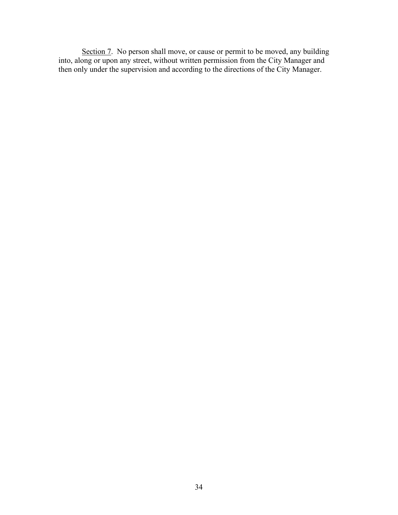Section 7. No person shall move, or cause or permit to be moved, any building into, along or upon any street, without written permission from the City Manager and then only under the supervision and according to the directions of the City Manager.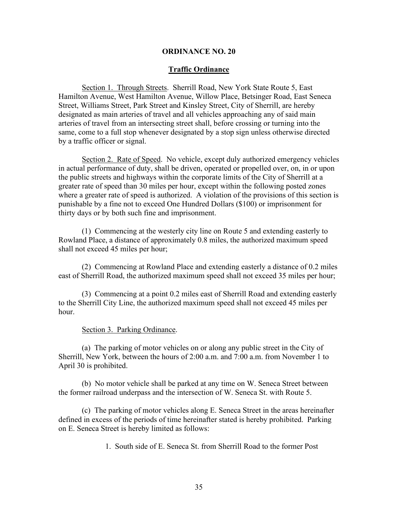### **Traffic Ordinance**

Section 1. Through Streets. Sherrill Road, New York State Route 5, East Hamilton Avenue, West Hamilton Avenue, Willow Place, Betsinger Road, East Seneca Street, Williams Street, Park Street and Kinsley Street, City of Sherrill, are hereby designated as main arteries of travel and all vehicles approaching any of said main arteries of travel from an intersecting street shall, before crossing or turning into the same, come to a full stop whenever designated by a stop sign unless otherwise directed by a traffic officer or signal.

Section 2. Rate of Speed. No vehicle, except duly authorized emergency vehicles in actual performance of duty, shall be driven, operated or propelled over, on, in or upon the public streets and highways within the corporate limits of the City of Sherrill at a greater rate of speed than 30 miles per hour, except within the following posted zones where a greater rate of speed is authorized. A violation of the provisions of this section is punishable by a fine not to exceed One Hundred Dollars (\$100) or imprisonment for thirty days or by both such fine and imprisonment.

(1) Commencing at the westerly city line on Route 5 and extending easterly to Rowland Place, a distance of approximately 0.8 miles, the authorized maximum speed shall not exceed 45 miles per hour;

(2) Commencing at Rowland Place and extending easterly a distance of 0.2 miles east of Sherrill Road, the authorized maximum speed shall not exceed 35 miles per hour;

(3) Commencing at a point 0.2 miles east of Sherrill Road and extending easterly to the Sherrill City Line, the authorized maximum speed shall not exceed 45 miles per hour.

#### Section 3. Parking Ordinance.

(a) The parking of motor vehicles on or along any public street in the City of Sherrill, New York, between the hours of 2:00 a.m. and 7:00 a.m. from November 1 to April 30 is prohibited.

(b) No motor vehicle shall be parked at any time on W. Seneca Street between the former railroad underpass and the intersection of W. Seneca St. with Route 5.

(c) The parking of motor vehicles along E. Seneca Street in the areas hereinafter defined in excess of the periods of time hereinafter stated is hereby prohibited. Parking on E. Seneca Street is hereby limited as follows:

1. South side of E. Seneca St. from Sherrill Road to the former Post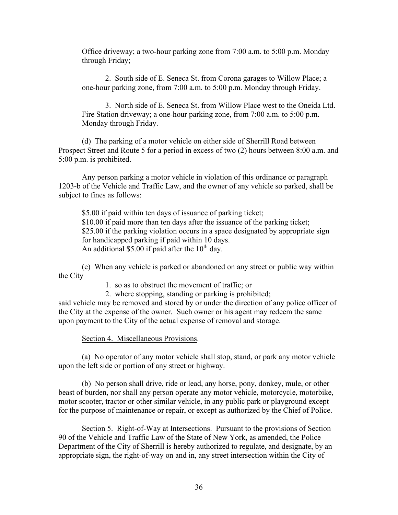Office driveway; a two-hour parking zone from 7:00 a.m. to 5:00 p.m. Monday through Friday;

2. South side of E. Seneca St. from Corona garages to Willow Place; a one-hour parking zone, from 7:00 a.m. to 5:00 p.m. Monday through Friday.

3. North side of E. Seneca St. from Willow Place west to the Oneida Ltd. Fire Station driveway; a one-hour parking zone, from 7:00 a.m. to 5:00 p.m. Monday through Friday.

(d) The parking of a motor vehicle on either side of Sherrill Road between Prospect Street and Route 5 for a period in excess of two (2) hours between 8:00 a.m. and 5:00 p.m. is prohibited.

Any person parking a motor vehicle in violation of this ordinance or paragraph 1203-b of the Vehicle and Traffic Law, and the owner of any vehicle so parked, shall be subject to fines as follows:

\$5.00 if paid within ten days of issuance of parking ticket; \$10.00 if paid more than ten days after the issuance of the parking ticket; \$25.00 if the parking violation occurs in a space designated by appropriate sign for handicapped parking if paid within 10 days. An additional \$5.00 if paid after the  $10<sup>th</sup>$  day.

(e) When any vehicle is parked or abandoned on any street or public way within the City

1. so as to obstruct the movement of traffic; or

2. where stopping, standing or parking is prohibited;

said vehicle may be removed and stored by or under the direction of any police officer of the City at the expense of the owner. Such owner or his agent may redeem the same upon payment to the City of the actual expense of removal and storage.

Section 4. Miscellaneous Provisions.

(a) No operator of any motor vehicle shall stop, stand, or park any motor vehicle upon the left side or portion of any street or highway.

(b) No person shall drive, ride or lead, any horse, pony, donkey, mule, or other beast of burden, nor shall any person operate any motor vehicle, motorcycle, motorbike, motor scooter, tractor or other similar vehicle, in any public park or playground except for the purpose of maintenance or repair, or except as authorized by the Chief of Police.

Section 5. Right-of-Way at Intersections. Pursuant to the provisions of Section 90 of the Vehicle and Traffic Law of the State of New York, as amended, the Police Department of the City of Sherrill is hereby authorized to regulate, and designate, by an appropriate sign, the right-of-way on and in, any street intersection within the City of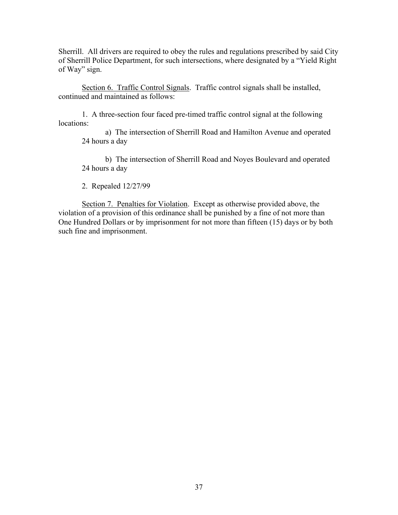Sherrill. All drivers are required to obey the rules and regulations prescribed by said City of Sherrill Police Department, for such intersections, where designated by a "Yield Right of Way" sign.

Section 6. Traffic Control Signals. Traffic control signals shall be installed, continued and maintained as follows:

1. A three-section four faced pre-timed traffic control signal at the following locations:

a) The intersection of Sherrill Road and Hamilton Avenue and operated 24 hours a day

b) The intersection of Sherrill Road and Noyes Boulevard and operated 24 hours a day

2. Repealed 12/27/99

Section 7. Penalties for Violation. Except as otherwise provided above, the violation of a provision of this ordinance shall be punished by a fine of not more than One Hundred Dollars or by imprisonment for not more than fifteen (15) days or by both such fine and imprisonment.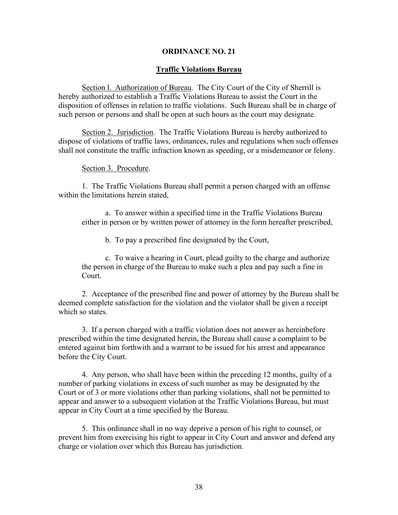## **Traffic Violations Bureau**

Section l. Authorization of Bureau. The City Court of the City of Sherrill is hereby authorized to establish a Traffic Violations Bureau to assist the Court in the disposition of offenses in relation to traffic violations. Such Bureau shall be in charge of such person or persons and shall be open at such hours as the court may designate.

Section 2. Jurisdiction. The Traffic Violations Bureau is hereby authorized to dispose of violations of traffic laws, ordinances, rules and regulations when such offenses shall not constitute the traffic infraction known as speeding, or a misdemeanor or felony.

#### Section 3. Procedure.

1. The Traffic Violations Bureau shall permit a person charged with an offense within the limitations herein stated,

a. To answer within a specified time in the Traffic Violations Bureau either in person or by written power of attorney in the form hereafter prescribed,

b. To pay a prescribed fine designated by the Court,

c. To waive a hearing in Court, plead guilty to the charge and authorize the person in charge of the Bureau to make such a plea and pay such a fine in Court.

2. Acceptance of the prescribed fine and power of attorney by the Bureau shall be deemed complete satisfaction for the violation and the violator shall be given a receipt which so states.

3. If a person charged with a traffic violation does not answer as hereinbefore prescribed within the time designated herein, the Bureau shall cause a complaint to be entered against him forthwith and a warrant to be issued for his arrest and appearance before the City Court.

4. Any person, who shall have been within the preceding 12 months, guilty of a number of parking violations in excess of such number as may be designated by the Court or of 3 or more violations other than parking violations, shall not be permitted to appear and answer to a subsequent violation at the Traffic Violations Bureau, but must appear in City Court at a time specified by the Bureau.

5. This ordinance shall in no way deprive a person of his right to counsel, or prevent him from exercising his right to appear in City Court and answer and defend any charge or violation over which this Bureau has jurisdiction.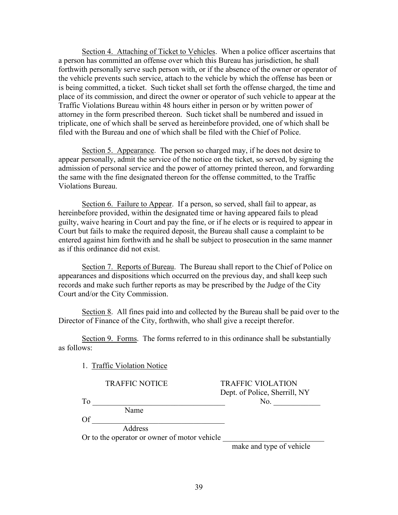Section 4. Attaching of Ticket to Vehicles. When a police officer ascertains that a person has committed an offense over which this Bureau has jurisdiction, he shall forthwith personally serve such person with, or if the absence of the owner or operator of the vehicle prevents such service, attach to the vehicle by which the offense has been or is being committed, a ticket. Such ticket shall set forth the offense charged, the time and place of its commission, and direct the owner or operator of such vehicle to appear at the Traffic Violations Bureau within 48 hours either in person or by written power of attorney in the form prescribed thereon. Such ticket shall be numbered and issued in triplicate, one of which shall be served as hereinbefore provided, one of which shall be filed with the Bureau and one of which shall be filed with the Chief of Police.

Section 5. Appearance. The person so charged may, if he does not desire to appear personally, admit the service of the notice on the ticket, so served, by signing the admission of personal service and the power of attorney printed thereon, and forwarding the same with the fine designated thereon for the offense committed, to the Traffic Violations Bureau.

Section 6. Failure to Appear. If a person, so served, shall fail to appear, as hereinbefore provided, within the designated time or having appeared fails to plead guilty, waive hearing in Court and pay the fine, or if he elects or is required to appear in Court but fails to make the required deposit, the Bureau shall cause a complaint to be entered against him forthwith and he shall be subject to prosecution in the same manner as if this ordinance did not exist.

Section 7. Reports of Bureau. The Bureau shall report to the Chief of Police on appearances and dispositions which occurred on the previous day, and shall keep such records and make such further reports as may be prescribed by the Judge of the City Court and/or the City Commission.

Section 8. All fines paid into and collected by the Bureau shall be paid over to the Director of Finance of the City, forthwith, who shall give a receipt therefor.

Section 9. Forms. The forms referred to in this ordinance shall be substantially as follows:

1. Traffic Violation Notice

TRAFFIC VIOLATION Dept. of Police, Sherrill, NY

To  $_{\text{No.}}$ Name

Of  $\Box$ 

Address

Or to the operator or owner of motor vehicle

make and type of vehicle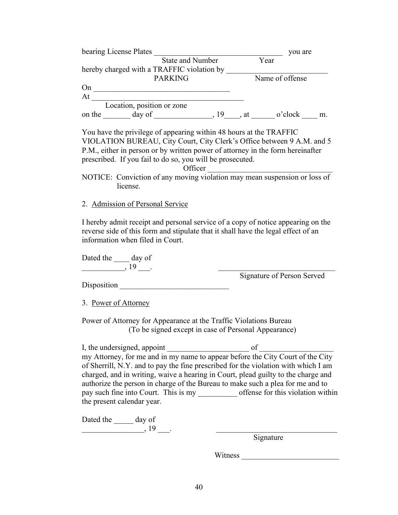| bearing License Plates<br>State and Number Year                                                                                                                                                                                                                                                                                                                                     | you are                           |
|-------------------------------------------------------------------------------------------------------------------------------------------------------------------------------------------------------------------------------------------------------------------------------------------------------------------------------------------------------------------------------------|-----------------------------------|
|                                                                                                                                                                                                                                                                                                                                                                                     |                                   |
|                                                                                                                                                                                                                                                                                                                                                                                     |                                   |
| <b>PARKING</b>                                                                                                                                                                                                                                                                                                                                                                      | Name of offense                   |
| $On \_\_$                                                                                                                                                                                                                                                                                                                                                                           |                                   |
| At Location, position or zone                                                                                                                                                                                                                                                                                                                                                       |                                   |
|                                                                                                                                                                                                                                                                                                                                                                                     |                                   |
| on the $\_\_\_\_$ day of $\_\_\_\_\_$ , 19, $\_\_\_$ , at $\_\_\_$ o'clock $\_\_\_\_\$ m.                                                                                                                                                                                                                                                                                           |                                   |
| You have the privilege of appearing within 48 hours at the TRAFFIC<br>VIOLATION BUREAU, City Court, City Clerk's Office between 9 A.M. and 5<br>P.M., either in person or by written power of attorney in the form hereinafter<br>prescribed. If you fail to do so, you will be prosecuted.<br>Officer<br>NOTICE: Conviction of any moving violation may mean suspension or loss of |                                   |
| license.                                                                                                                                                                                                                                                                                                                                                                            |                                   |
|                                                                                                                                                                                                                                                                                                                                                                                     |                                   |
| 2. Admission of Personal Service                                                                                                                                                                                                                                                                                                                                                    |                                   |
| Dated the _____ day of                                                                                                                                                                                                                                                                                                                                                              |                                   |
| $\frac{1}{2}$ , 19 $\frac{1}{2}$ .                                                                                                                                                                                                                                                                                                                                                  |                                   |
|                                                                                                                                                                                                                                                                                                                                                                                     | <b>Signature of Person Served</b> |
|                                                                                                                                                                                                                                                                                                                                                                                     |                                   |
| 3. Power of Attorney                                                                                                                                                                                                                                                                                                                                                                |                                   |
| Power of Attorney for Appearance at the Traffic Violations Bureau                                                                                                                                                                                                                                                                                                                   |                                   |
| (To be signed except in case of Personal Appearance)                                                                                                                                                                                                                                                                                                                                |                                   |
|                                                                                                                                                                                                                                                                                                                                                                                     |                                   |
| $\overline{\phantom{a}}$ of $\overline{\phantom{a}}$<br>I, the undersigned, appoint                                                                                                                                                                                                                                                                                                 |                                   |
| my Attorney, for me and in my name to appear before the City Court of the City                                                                                                                                                                                                                                                                                                      |                                   |
| of Sherrill, N.Y. and to pay the fine prescribed for the violation with which I am                                                                                                                                                                                                                                                                                                  |                                   |
| charged, and in writing, waive a hearing in Court, plead guilty to the charge and                                                                                                                                                                                                                                                                                                   |                                   |
|                                                                                                                                                                                                                                                                                                                                                                                     |                                   |
| authorize the person in charge of the Bureau to make such a plea for me and to                                                                                                                                                                                                                                                                                                      |                                   |
|                                                                                                                                                                                                                                                                                                                                                                                     |                                   |
| the present calendar year.                                                                                                                                                                                                                                                                                                                                                          |                                   |
| Dated the ______ day of<br>$\overbrace{\phantom{1354811}}^{19}$ .                                                                                                                                                                                                                                                                                                                   |                                   |

Witness \_\_\_\_\_\_\_\_\_\_\_\_\_\_\_\_\_\_\_\_\_\_\_\_\_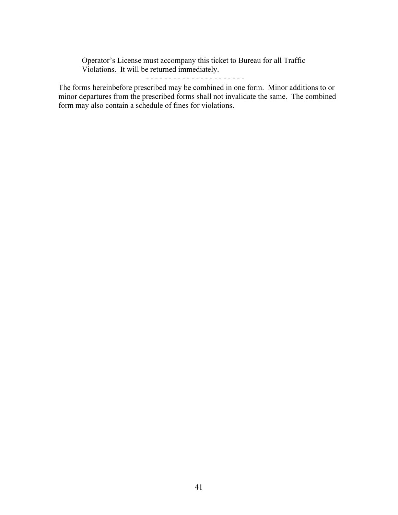Operator's License must accompany this ticket to Bureau for all Traffic Violations. It will be returned immediately.

## - - - - - - - - - - - - - - - - - - - - - -

The forms hereinbefore prescribed may be combined in one form. Minor additions to or minor departures from the prescribed forms shall not invalidate the same. The combined form may also contain a schedule of fines for violations.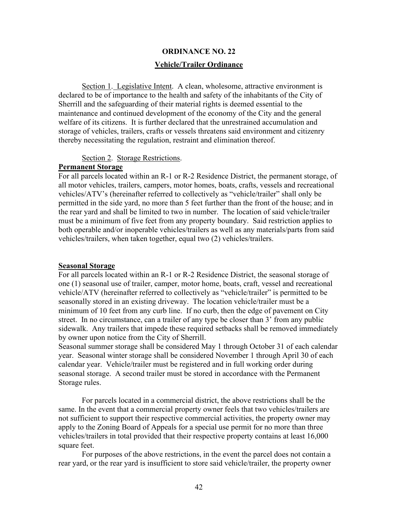# **ORDINANCE NO. 22 Vehicle/Trailer Ordinance**

Section 1. Legislative Intent. A clean, wholesome, attractive environment is declared to be of importance to the health and safety of the inhabitants of the City of Sherrill and the safeguarding of their material rights is deemed essential to the maintenance and continued development of the economy of the City and the general welfare of its citizens. It is further declared that the unrestrained accumulation and storage of vehicles, trailers, crafts or vessels threatens said environment and citizenry thereby necessitating the regulation, restraint and elimination thereof.

#### Section 2. Storage Restrictions.

#### **Permanent Storage**

For all parcels located within an R-1 or R-2 Residence District, the permanent storage, of all motor vehicles, trailers, campers, motor homes, boats, crafts, vessels and recreational vehicles/ATV's (hereinafter referred to collectively as "vehicle/trailer" shall only be permitted in the side yard, no more than 5 feet further than the front of the house; and in the rear yard and shall be limited to two in number. The location of said vehicle/trailer must be a minimum of five feet from any property boundary. Said restriction applies to both operable and/or inoperable vehicles/trailers as well as any materials/parts from said vehicles/trailers, when taken together, equal two (2) vehicles/trailers.

#### **Seasonal Storage**

For all parcels located within an R-1 or R-2 Residence District, the seasonal storage of one (1) seasonal use of trailer, camper, motor home, boats, craft, vessel and recreational vehicle/ATV (hereinafter referred to collectively as "vehicle/trailer" is permitted to be seasonally stored in an existing driveway. The location vehicle/trailer must be a minimum of 10 feet from any curb line. If no curb, then the edge of pavement on City street. In no circumstance, can a trailer of any type be closer than 3' from any public sidewalk. Any trailers that impede these required setbacks shall be removed immediately by owner upon notice from the City of Sherrill.

Seasonal summer storage shall be considered May 1 through October 31 of each calendar year. Seasonal winter storage shall be considered November 1 through April 30 of each calendar year. Vehicle/trailer must be registered and in full working order during seasonal storage. A second trailer must be stored in accordance with the Permanent Storage rules.

For parcels located in a commercial district, the above restrictions shall be the same. In the event that a commercial property owner feels that two vehicles/trailers are not sufficient to support their respective commercial activities, the property owner may apply to the Zoning Board of Appeals for a special use permit for no more than three vehicles/trailers in total provided that their respective property contains at least 16,000 square feet.

For purposes of the above restrictions, in the event the parcel does not contain a rear yard, or the rear yard is insufficient to store said vehicle/trailer, the property owner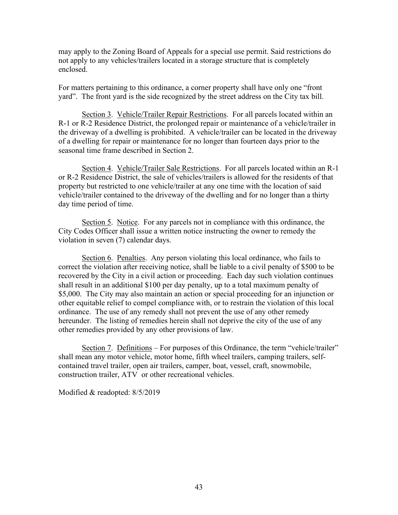may apply to the Zoning Board of Appeals for a special use permit. Said restrictions do not apply to any vehicles/trailers located in a storage structure that is completely enclosed.

For matters pertaining to this ordinance, a corner property shall have only one "front yard". The front yard is the side recognized by the street address on the City tax bill.

Section 3. Vehicle/Trailer Repair Restrictions. For all parcels located within an R-1 or R-2 Residence District, the prolonged repair or maintenance of a vehicle/trailer in the driveway of a dwelling is prohibited. A vehicle/trailer can be located in the driveway of a dwelling for repair or maintenance for no longer than fourteen days prior to the seasonal time frame described in Section 2.

Section 4. Vehicle/Trailer Sale Restrictions. For all parcels located within an R-1 or R-2 Residence District, the sale of vehicles/trailers is allowed for the residents of that property but restricted to one vehicle/trailer at any one time with the location of said vehicle/trailer contained to the driveway of the dwelling and for no longer than a thirty day time period of time.

Section 5. Notice. For any parcels not in compliance with this ordinance, the City Codes Officer shall issue a written notice instructing the owner to remedy the violation in seven (7) calendar days.

Section 6. Penalties. Any person violating this local ordinance, who fails to correct the violation after receiving notice, shall be liable to a civil penalty of \$500 to be recovered by the City in a civil action or proceeding. Each day such violation continues shall result in an additional \$100 per day penalty, up to a total maximum penalty of \$5,000. The City may also maintain an action or special proceeding for an injunction or other equitable relief to compel compliance with, or to restrain the violation of this local ordinance. The use of any remedy shall not prevent the use of any other remedy hereunder. The listing of remedies herein shall not deprive the city of the use of any other remedies provided by any other provisions of law.

Section 7. Definitions – For purposes of this Ordinance, the term "vehicle/trailer" shall mean any motor vehicle, motor home, fifth wheel trailers, camping trailers, selfcontained travel trailer, open air trailers, camper, boat, vessel, craft, snowmobile, construction trailer, ATV or other recreational vehicles.

Modified & readopted: 8/5/2019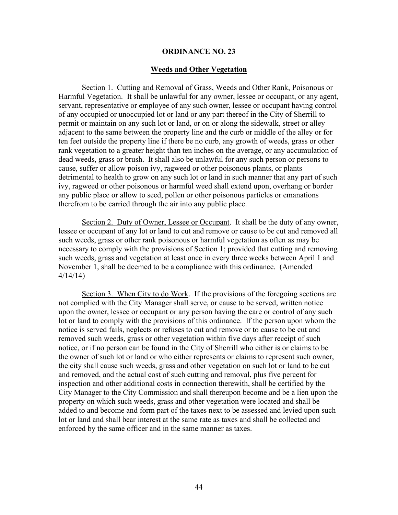### **Weeds and Other Vegetation**

Section 1. Cutting and Removal of Grass, Weeds and Other Rank, Poisonous or Harmful Vegetation. It shall be unlawful for any owner, lessee or occupant, or any agent, servant, representative or employee of any such owner, lessee or occupant having control of any occupied or unoccupied lot or land or any part thereof in the City of Sherrill to permit or maintain on any such lot or land, or on or along the sidewalk, street or alley adjacent to the same between the property line and the curb or middle of the alley or for ten feet outside the property line if there be no curb, any growth of weeds, grass or other rank vegetation to a greater height than ten inches on the average, or any accumulation of dead weeds, grass or brush. It shall also be unlawful for any such person or persons to cause, suffer or allow poison ivy, ragweed or other poisonous plants, or plants detrimental to health to grow on any such lot or land in such manner that any part of such ivy, ragweed or other poisonous or harmful weed shall extend upon, overhang or border any public place or allow to seed, pollen or other poisonous particles or emanations therefrom to be carried through the air into any public place.

Section 2. Duty of Owner, Lessee or Occupant. It shall be the duty of any owner, lessee or occupant of any lot or land to cut and remove or cause to be cut and removed all such weeds, grass or other rank poisonous or harmful vegetation as often as may be necessary to comply with the provisions of Section 1; provided that cutting and removing such weeds, grass and vegetation at least once in every three weeks between April 1 and November 1, shall be deemed to be a compliance with this ordinance. (Amended 4/14/14)

Section 3. When City to do Work. If the provisions of the foregoing sections are not complied with the City Manager shall serve, or cause to be served, written notice upon the owner, lessee or occupant or any person having the care or control of any such lot or land to comply with the provisions of this ordinance. If the person upon whom the notice is served fails, neglects or refuses to cut and remove or to cause to be cut and removed such weeds, grass or other vegetation within five days after receipt of such notice, or if no person can be found in the City of Sherrill who either is or claims to be the owner of such lot or land or who either represents or claims to represent such owner, the city shall cause such weeds, grass and other vegetation on such lot or land to be cut and removed, and the actual cost of such cutting and removal, plus five percent for inspection and other additional costs in connection therewith, shall be certified by the City Manager to the City Commission and shall thereupon become and be a lien upon the property on which such weeds, grass and other vegetation were located and shall be added to and become and form part of the taxes next to be assessed and levied upon such lot or land and shall bear interest at the same rate as taxes and shall be collected and enforced by the same officer and in the same manner as taxes.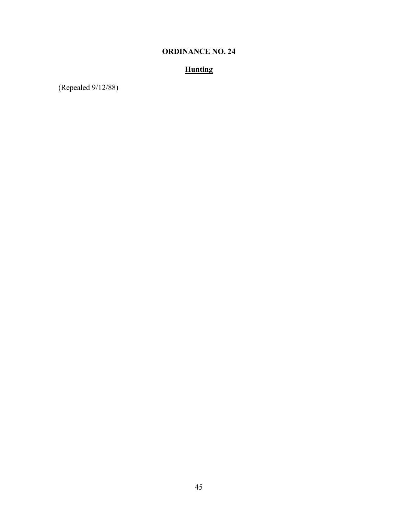# **Hunting**

(Repealed 9/12/88)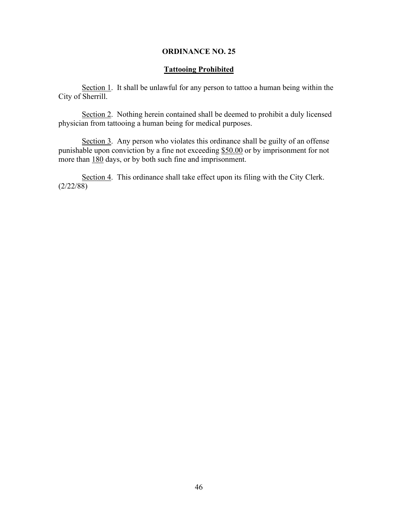### **Tattooing Prohibited**

Section 1. It shall be unlawful for any person to tattoo a human being within the City of Sherrill.

Section 2. Nothing herein contained shall be deemed to prohibit a duly licensed physician from tattooing a human being for medical purposes.

Section 3. Any person who violates this ordinance shall be guilty of an offense punishable upon conviction by a fine not exceeding \$50.00 or by imprisonment for not more than 180 days, or by both such fine and imprisonment.

Section 4. This ordinance shall take effect upon its filing with the City Clerk. (2/22/88)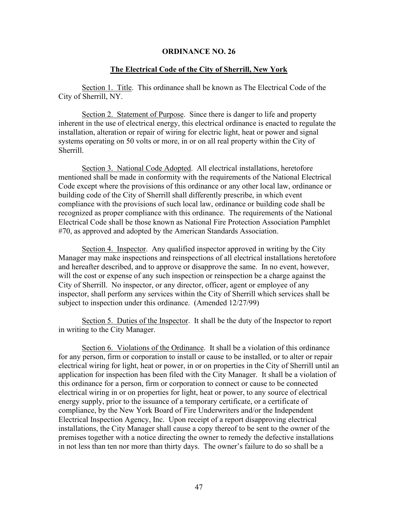#### **The Electrical Code of the City of Sherrill, New York**

Section 1. Title. This ordinance shall be known as The Electrical Code of the City of Sherrill, NY.

Section 2. Statement of Purpose. Since there is danger to life and property inherent in the use of electrical energy, this electrical ordinance is enacted to regulate the installation, alteration or repair of wiring for electric light, heat or power and signal systems operating on 50 volts or more, in or on all real property within the City of Sherrill.

Section 3. National Code Adopted. All electrical installations, heretofore mentioned shall be made in conformity with the requirements of the National Electrical Code except where the provisions of this ordinance or any other local law, ordinance or building code of the City of Sherrill shall differently prescribe, in which event compliance with the provisions of such local law, ordinance or building code shall be recognized as proper compliance with this ordinance. The requirements of the National Electrical Code shall be those known as National Fire Protection Association Pamphlet #70, as approved and adopted by the American Standards Association.

Section 4. Inspector. Any qualified inspector approved in writing by the City Manager may make inspections and reinspections of all electrical installations heretofore and hereafter described, and to approve or disapprove the same. In no event, however, will the cost or expense of any such inspection or reinspection be a charge against the City of Sherrill. No inspector, or any director, officer, agent or employee of any inspector, shall perform any services within the City of Sherrill which services shall be subject to inspection under this ordinance. (Amended 12/27/99)

Section 5. Duties of the Inspector. It shall be the duty of the Inspector to report in writing to the City Manager.

Section 6. Violations of the Ordinance. It shall be a violation of this ordinance for any person, firm or corporation to install or cause to be installed, or to alter or repair electrical wiring for light, heat or power, in or on properties in the City of Sherrill until an application for inspection has been filed with the City Manager. It shall be a violation of this ordinance for a person, firm or corporation to connect or cause to be connected electrical wiring in or on properties for light, heat or power, to any source of electrical energy supply, prior to the issuance of a temporary certificate, or a certificate of compliance, by the New York Board of Fire Underwriters and/or the Independent Electrical Inspection Agency, Inc. Upon receipt of a report disapproving electrical installations, the City Manager shall cause a copy thereof to be sent to the owner of the premises together with a notice directing the owner to remedy the defective installations in not less than ten nor more than thirty days. The owner's failure to do so shall be a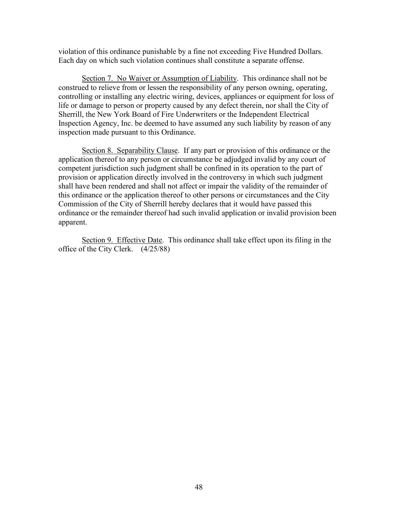violation of this ordinance punishable by a fine not exceeding Five Hundred Dollars. Each day on which such violation continues shall constitute a separate offense.

Section 7. No Waiver or Assumption of Liability. This ordinance shall not be construed to relieve from or lessen the responsibility of any person owning, operating, controlling or installing any electric wiring, devices, appliances or equipment for loss of life or damage to person or property caused by any defect therein, nor shall the City of Sherrill, the New York Board of Fire Underwriters or the Independent Electrical Inspection Agency, Inc. be deemed to have assumed any such liability by reason of any inspection made pursuant to this Ordinance.

Section 8. Separability Clause. If any part or provision of this ordinance or the application thereof to any person or circumstance be adjudged invalid by any court of competent jurisdiction such judgment shall be confined in its operation to the part of provision or application directly involved in the controversy in which such judgment shall have been rendered and shall not affect or impair the validity of the remainder of this ordinance or the application thereof to other persons or circumstances and the City Commission of the City of Sherrill hereby declares that it would have passed this ordinance or the remainder thereof had such invalid application or invalid provision been apparent.

Section 9. Effective Date. This ordinance shall take effect upon its filing in the office of the City Clerk. (4/25/88)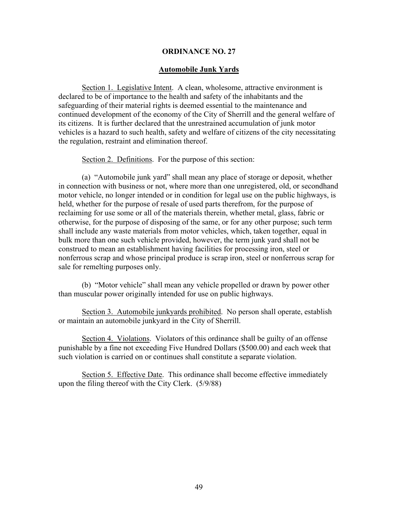### **Automobile Junk Yards**

Section 1. Legislative Intent. A clean, wholesome, attractive environment is declared to be of importance to the health and safety of the inhabitants and the safeguarding of their material rights is deemed essential to the maintenance and continued development of the economy of the City of Sherrill and the general welfare of its citizens. It is further declared that the unrestrained accumulation of junk motor vehicles is a hazard to such health, safety and welfare of citizens of the city necessitating the regulation, restraint and elimination thereof.

Section 2. Definitions. For the purpose of this section:

(a) "Automobile junk yard" shall mean any place of storage or deposit, whether in connection with business or not, where more than one unregistered, old, or secondhand motor vehicle, no longer intended or in condition for legal use on the public highways, is held, whether for the purpose of resale of used parts therefrom, for the purpose of reclaiming for use some or all of the materials therein, whether metal, glass, fabric or otherwise, for the purpose of disposing of the same, or for any other purpose; such term shall include any waste materials from motor vehicles, which, taken together, equal in bulk more than one such vehicle provided, however, the term junk yard shall not be construed to mean an establishment having facilities for processing iron, steel or nonferrous scrap and whose principal produce is scrap iron, steel or nonferrous scrap for sale for remelting purposes only.

(b) "Motor vehicle" shall mean any vehicle propelled or drawn by power other than muscular power originally intended for use on public highways.

Section 3. Automobile junkyards prohibited. No person shall operate, establish or maintain an automobile junkyard in the City of Sherrill.

Section 4. Violations. Violators of this ordinance shall be guilty of an offense punishable by a fine not exceeding Five Hundred Dollars (\$500.00) and each week that such violation is carried on or continues shall constitute a separate violation.

Section 5. Effective Date. This ordinance shall become effective immediately upon the filing thereof with the City Clerk. (5/9/88)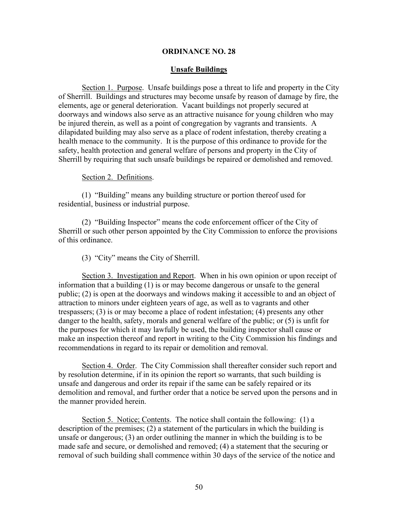### **Unsafe Buildings**

Section 1. Purpose. Unsafe buildings pose a threat to life and property in the City of Sherrill. Buildings and structures may become unsafe by reason of damage by fire, the elements, age or general deterioration. Vacant buildings not properly secured at doorways and windows also serve as an attractive nuisance for young children who may be injured therein, as well as a point of congregation by vagrants and transients. A dilapidated building may also serve as a place of rodent infestation, thereby creating a health menace to the community. It is the purpose of this ordinance to provide for the safety, health protection and general welfare of persons and property in the City of Sherrill by requiring that such unsafe buildings be repaired or demolished and removed.

### Section 2. Definitions.

(1) "Building" means any building structure or portion thereof used for residential, business or industrial purpose.

(2) "Building Inspector" means the code enforcement officer of the City of Sherrill or such other person appointed by the City Commission to enforce the provisions of this ordinance.

(3) "City" means the City of Sherrill.

Section 3. Investigation and Report. When in his own opinion or upon receipt of information that a building (1) is or may become dangerous or unsafe to the general public; (2) is open at the doorways and windows making it accessible to and an object of attraction to minors under eighteen years of age, as well as to vagrants and other trespassers; (3) is or may become a place of rodent infestation; (4) presents any other danger to the health, safety, morals and general welfare of the public; or (5) is unfit for the purposes for which it may lawfully be used, the building inspector shall cause or make an inspection thereof and report in writing to the City Commission his findings and recommendations in regard to its repair or demolition and removal.

Section 4. Order. The City Commission shall thereafter consider such report and by resolution determine, if in its opinion the report so warrants, that such building is unsafe and dangerous and order its repair if the same can be safely repaired or its demolition and removal, and further order that a notice be served upon the persons and in the manner provided herein.

Section 5. Notice; Contents. The notice shall contain the following: (1) a description of the premises; (2) a statement of the particulars in which the building is unsafe or dangerous; (3) an order outlining the manner in which the building is to be made safe and secure, or demolished and removed; (4) a statement that the securing or removal of such building shall commence within 30 days of the service of the notice and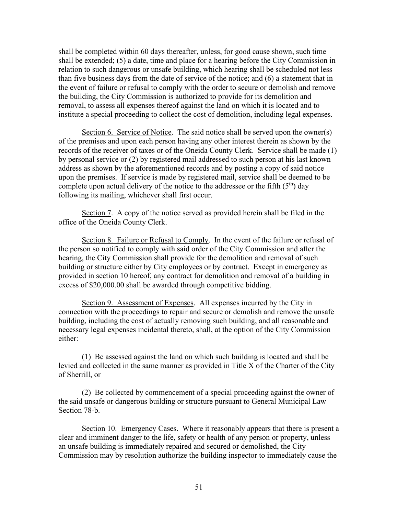shall be completed within 60 days thereafter, unless, for good cause shown, such time shall be extended; (5) a date, time and place for a hearing before the City Commission in relation to such dangerous or unsafe building, which hearing shall be scheduled not less than five business days from the date of service of the notice; and (6) a statement that in the event of failure or refusal to comply with the order to secure or demolish and remove the building, the City Commission is authorized to provide for its demolition and removal, to assess all expenses thereof against the land on which it is located and to institute a special proceeding to collect the cost of demolition, including legal expenses.

Section 6. Service of Notice. The said notice shall be served upon the owner(s) of the premises and upon each person having any other interest therein as shown by the records of the receiver of taxes or of the Oneida County Clerk. Service shall be made (1) by personal service or (2) by registered mail addressed to such person at his last known address as shown by the aforementioned records and by posting a copy of said notice upon the premises. If service is made by registered mail, service shall be deemed to be complete upon actual delivery of the notice to the addressee or the fifth  $(5<sup>th</sup>)$  day following its mailing, whichever shall first occur.

Section 7. A copy of the notice served as provided herein shall be filed in the office of the Oneida County Clerk.

Section 8. Failure or Refusal to Comply. In the event of the failure or refusal of the person so notified to comply with said order of the City Commission and after the hearing, the City Commission shall provide for the demolition and removal of such building or structure either by City employees or by contract. Except in emergency as provided in section 10 hereof, any contract for demolition and removal of a building in excess of \$20,000.00 shall be awarded through competitive bidding.

Section 9. Assessment of Expenses. All expenses incurred by the City in connection with the proceedings to repair and secure or demolish and remove the unsafe building, including the cost of actually removing such building, and all reasonable and necessary legal expenses incidental thereto, shall, at the option of the City Commission either:

(1) Be assessed against the land on which such building is located and shall be levied and collected in the same manner as provided in Title X of the Charter of the City of Sherrill, or

(2) Be collected by commencement of a special proceeding against the owner of the said unsafe or dangerous building or structure pursuant to General Municipal Law Section 78-b.

Section 10. Emergency Cases. Where it reasonably appears that there is present a clear and imminent danger to the life, safety or health of any person or property, unless an unsafe building is immediately repaired and secured or demolished, the City Commission may by resolution authorize the building inspector to immediately cause the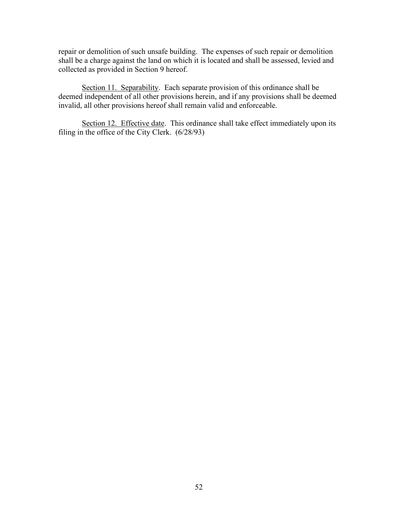repair or demolition of such unsafe building. The expenses of such repair or demolition shall be a charge against the land on which it is located and shall be assessed, levied and collected as provided in Section 9 hereof.

Section 11. Separability. Each separate provision of this ordinance shall be deemed independent of all other provisions herein, and if any provisions shall be deemed invalid, all other provisions hereof shall remain valid and enforceable.

Section 12. Effective date. This ordinance shall take effect immediately upon its filing in the office of the City Clerk.  $(6/28/93)$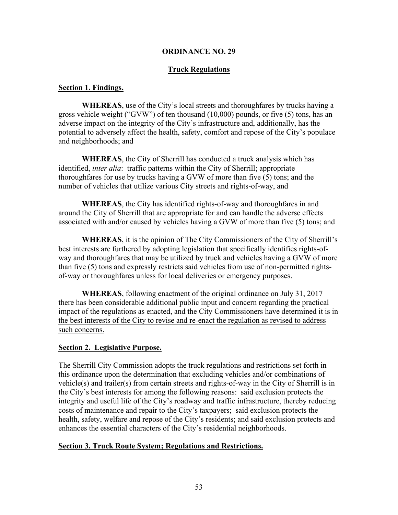# **Truck Regulations**

### **Section 1. Findings.**

**WHEREAS**, use of the City's local streets and thoroughfares by trucks having a gross vehicle weight ("GVW") of ten thousand (10,000) pounds, or five (5) tons, has an adverse impact on the integrity of the City's infrastructure and, additionally, has the potential to adversely affect the health, safety, comfort and repose of the City's populace and neighborhoods; and

**WHEREAS**, the City of Sherrill has conducted a truck analysis which has identified, *inter alia*: traffic patterns within the City of Sherrill; appropriate thoroughfares for use by trucks having a GVW of more than five (5) tons; and the number of vehicles that utilize various City streets and rights-of-way, and

**WHEREAS**, the City has identified rights-of-way and thoroughfares in and around the City of Sherrill that are appropriate for and can handle the adverse effects associated with and/or caused by vehicles having a GVW of more than five (5) tons; and

**WHEREAS**, it is the opinion of The City Commissioners of the City of Sherrill's best interests are furthered by adopting legislation that specifically identifies rights-ofway and thoroughfares that may be utilized by truck and vehicles having a GVW of more than five (5) tons and expressly restricts said vehicles from use of non-permitted rightsof-way or thoroughfares unless for local deliveries or emergency purposes.

**WHEREAS**, following enactment of the original ordinance on July 31, 2017 there has been considerable additional public input and concern regarding the practical impact of the regulations as enacted, and the City Commissioners have determined it is in the best interests of the City to revise and re-enact the regulation as revised to address such concerns.

# **Section 2. Legislative Purpose.**

The Sherrill City Commission adopts the truck regulations and restrictions set forth in this ordinance upon the determination that excluding vehicles and/or combinations of vehicle(s) and trailer(s) from certain streets and rights-of-way in the City of Sherrill is in the City's best interests for among the following reasons: said exclusion protects the integrity and useful life of the City's roadway and traffic infrastructure, thereby reducing costs of maintenance and repair to the City's taxpayers; said exclusion protects the health, safety, welfare and repose of the City's residents; and said exclusion protects and enhances the essential characters of the City's residential neighborhoods.

# **Section 3. Truck Route System; Regulations and Restrictions.**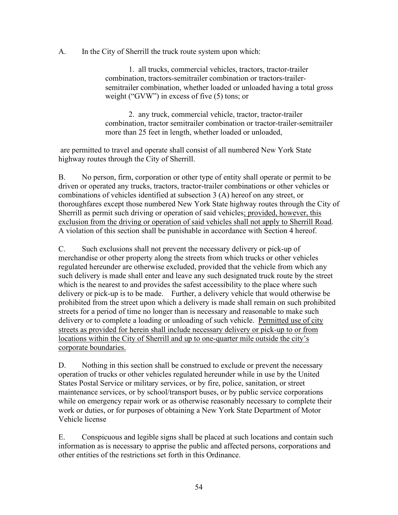A. In the City of Sherrill the truck route system upon which:

1. all trucks, commercial vehicles, tractors, tractor-trailer combination, tractors-semitrailer combination or tractors-trailersemitrailer combination, whether loaded or unloaded having a total gross weight ("GVW") in excess of five (5) tons; or

2. any truck, commercial vehicle, tractor, tractor-trailer combination, tractor semitrailer combination or tractor-trailer-semitrailer more than 25 feet in length, whether loaded or unloaded,

are permitted to travel and operate shall consist of all numbered New York State highway routes through the City of Sherrill.

B. No person, firm, corporation or other type of entity shall operate or permit to be driven or operated any trucks, tractors, tractor-trailer combinations or other vehicles or combinations of vehicles identified at subsection 3 (A) hereof on any street, or thoroughfares except those numbered New York State highway routes through the City of Sherrill as permit such driving or operation of said vehicles; provided, however, this exclusion from the driving or operation of said vehicles shall not apply to Sherrill Road. A violation of this section shall be punishable in accordance with Section 4 hereof.

C. Such exclusions shall not prevent the necessary delivery or pick-up of merchandise or other property along the streets from which trucks or other vehicles regulated hereunder are otherwise excluded, provided that the vehicle from which any such delivery is made shall enter and leave any such designated truck route by the street which is the nearest to and provides the safest accessibility to the place where such delivery or pick-up is to be made. Further, a delivery vehicle that would otherwise be prohibited from the street upon which a delivery is made shall remain on such prohibited streets for a period of time no longer than is necessary and reasonable to make such delivery or to complete a loading or unloading of such vehicle. Permitted use of city streets as provided for herein shall include necessary delivery or pick-up to or from locations within the City of Sherrill and up to one-quarter mile outside the city's corporate boundaries.

D. Nothing in this section shall be construed to exclude or prevent the necessary operation of trucks or other vehicles regulated hereunder while in use by the United States Postal Service or military services, or by fire, police, sanitation, or street maintenance services, or by school/transport buses, or by public service corporations while on emergency repair work or as otherwise reasonably necessary to complete their work or duties, or for purposes of obtaining a New York State Department of Motor Vehicle license

E. Conspicuous and legible signs shall be placed at such locations and contain such information as is necessary to apprise the public and affected persons, corporations and other entities of the restrictions set forth in this Ordinance.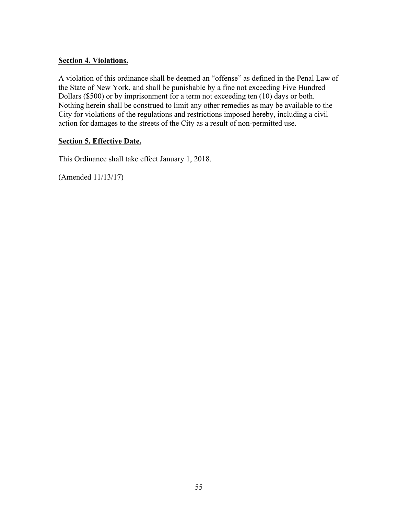# **Section 4. Violations.**

A violation of this ordinance shall be deemed an "offense" as defined in the Penal Law of the State of New York, and shall be punishable by a fine not exceeding Five Hundred Dollars (\$500) or by imprisonment for a term not exceeding ten (10) days or both. Nothing herein shall be construed to limit any other remedies as may be available to the City for violations of the regulations and restrictions imposed hereby, including a civil action for damages to the streets of the City as a result of non-permitted use.

# **Section 5. Effective Date.**

This Ordinance shall take effect January 1, 2018.

(Amended 11/13/17)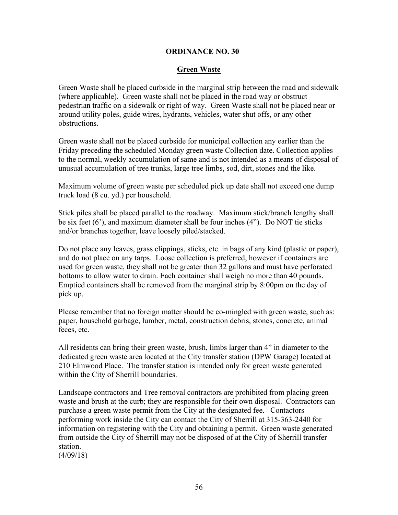# **Green Waste**

Green Waste shall be placed curbside in the marginal strip between the road and sidewalk (where applicable). Green waste shall not be placed in the road way or obstruct pedestrian traffic on a sidewalk or right of way. Green Waste shall not be placed near or around utility poles, guide wires, hydrants, vehicles, water shut offs, or any other obstructions.

Green waste shall not be placed curbside for municipal collection any earlier than the Friday preceding the scheduled Monday green waste Collection date. Collection applies to the normal, weekly accumulation of same and is not intended as a means of disposal of unusual accumulation of tree trunks, large tree limbs, sod, dirt, stones and the like.

Maximum volume of green waste per scheduled pick up date shall not exceed one dump truck load (8 cu. yd.) per household.

Stick piles shall be placed parallel to the roadway. Maximum stick/branch lengthy shall be six feet (6'), and maximum diameter shall be four inches (4"). Do NOT tie sticks and/or branches together, leave loosely piled/stacked.

Do not place any leaves, grass clippings, sticks, etc. in bags of any kind (plastic or paper), and do not place on any tarps. Loose collection is preferred, however if containers are used for green waste, they shall not be greater than 32 gallons and must have perforated bottoms to allow water to drain. Each container shall weigh no more than 40 pounds. Emptied containers shall be removed from the marginal strip by 8:00pm on the day of pick up.

Please remember that no foreign matter should be co-mingled with green waste, such as: paper, household garbage, lumber, metal, construction debris, stones, concrete, animal feces, etc.

All residents can bring their green waste, brush, limbs larger than 4" in diameter to the dedicated green waste area located at the City transfer station (DPW Garage) located at 210 Elmwood Place. The transfer station is intended only for green waste generated within the City of Sherrill boundaries.

Landscape contractors and Tree removal contractors are prohibited from placing green waste and brush at the curb; they are responsible for their own disposal. Contractors can purchase a green waste permit from the City at the designated fee. Contactors performing work inside the City can contact the City of Sherrill at 315-363-2440 for information on registering with the City and obtaining a permit. Green waste generated from outside the City of Sherrill may not be disposed of at the City of Sherrill transfer station.

(4/09/18)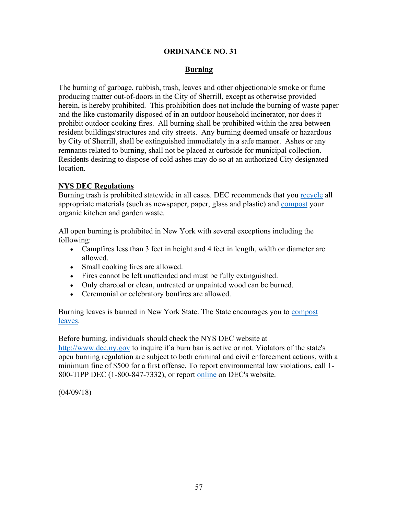# **Burning**

The burning of garbage, rubbish, trash, leaves and other objectionable smoke or fume producing matter out-of-doors in the City of Sherrill, except as otherwise provided herein, is hereby prohibited. This prohibition does not include the burning of waste paper and the like customarily disposed of in an outdoor household incinerator, nor does it prohibit outdoor cooking fires. All burning shall be prohibited within the area between resident buildings/structures and city streets. Any burning deemed unsafe or hazardous by City of Sherrill, shall be extinguished immediately in a safe manner. Ashes or any remnants related to burning, shall not be placed at curbside for municipal collection. Residents desiring to dispose of cold ashes may do so at an authorized City designated location.

# **NYS DEC Regulations**

Burning trash is prohibited statewide in all cases. DEC recommends that you [recycle](https://www.dec.ny.gov/public/43706.html) all appropriate materials (such as newspaper, paper, glass and plastic) and [compost](https://www.dec.ny.gov/chemical/8799.html) your organic kitchen and garden waste.

All open burning is prohibited in New York with several exceptions including the following:

- Campfires less than 3 feet in height and 4 feet in length, width or diameter are allowed.
- Small cooking fires are allowed.
- Fires cannot be left unattended and must be fully extinguished.
- Only charcoal or clean, untreated or unpainted wood can be burned.
- Ceremonial or celebratory bonfires are allowed.

Burning leaves is banned in New York State. The State encourages you to [compost](https://www.dec.ny.gov/public/46613.html)  [leaves.](https://www.dec.ny.gov/public/46613.html)

Before burning, individuals should check the NYS DEC website at [http://www.dec.ny.gov](http://www.dec.ny.gov/) to inquire if a burn ban is active or not. Violators of the state's open burning regulation are subject to both criminal and civil enforcement actions, with a minimum fine of \$500 for a first offense. To report environmental law violations, call 1- 800-TIPP DEC (1-800-847-7332), or report [online](https://www.dec.ny.gov/regulations/67751.html) on DEC's website.

(04/09/18)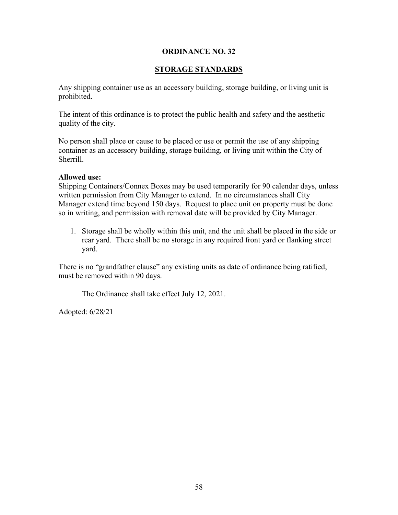# **STORAGE STANDARDS**

Any shipping container use as an accessory building, storage building, or living unit is prohibited.

The intent of this ordinance is to protect the public health and safety and the aesthetic quality of the city.

No person shall place or cause to be placed or use or permit the use of any shipping container as an accessory building, storage building, or living unit within the City of Sherrill.

# **Allowed use:**

Shipping Containers/Connex Boxes may be used temporarily for 90 calendar days, unless written permission from City Manager to extend. In no circumstances shall City Manager extend time beyond 150 days. Request to place unit on property must be done so in writing, and permission with removal date will be provided by City Manager.

1. Storage shall be wholly within this unit, and the unit shall be placed in the side or rear yard. There shall be no storage in any required front yard or flanking street yard.

There is no "grandfather clause" any existing units as date of ordinance being ratified, must be removed within 90 days.

The Ordinance shall take effect July 12, 2021.

Adopted: 6/28/21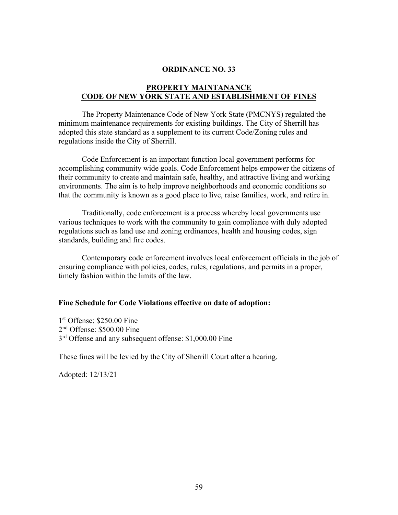# **PROPERTY MAINTANANCE CODE OF NEW YORK STATE AND ESTABLISHMENT OF FINES**

The Property Maintenance Code of New York State (PMCNYS) regulated the minimum maintenance requirements for existing buildings. The City of Sherrill has adopted this state standard as a supplement to its current Code/Zoning rules and regulations inside the City of Sherrill.

Code Enforcement is an important function local government performs for accomplishing community wide goals. Code Enforcement helps empower the citizens of their community to create and maintain safe, healthy, and attractive living and working environments. The aim is to help improve neighborhoods and economic conditions so that the community is known as a good place to live, raise families, work, and retire in.

Traditionally, code enforcement is a process whereby local governments use various techniques to work with the community to gain compliance with duly adopted regulations such as land use and zoning ordinances, health and housing codes, sign standards, building and fire codes.

Contemporary code enforcement involves local enforcement officials in the job of ensuring compliance with policies, codes, rules, regulations, and permits in a proper, timely fashion within the limits of the law.

#### **Fine Schedule for Code Violations effective on date of adoption:**

1<sup>st</sup> Offense: \$250.00 Fine 2<sup>nd</sup> Offense: \$500.00 Fine 3<sup>rd</sup> Offense and any subsequent offense: \$1,000.00 Fine

These fines will be levied by the City of Sherrill Court after a hearing.

Adopted: 12/13/21